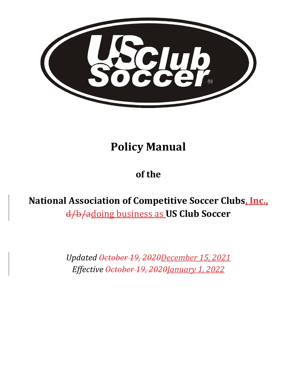

# **Policy Manual**

# **of the**

**National Association of Competitive Soccer Clubs, Inc.,** d/b/adoing business as **US Club Soccer**

> *Updated October 19, 2020December 15, 2021 Effective October 19, 2020January 1, 2022*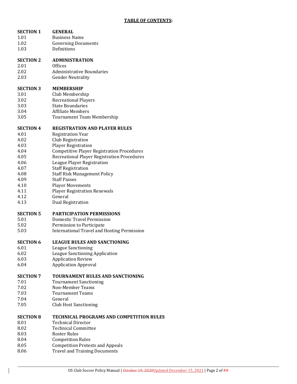| <b>SECTION 1</b> | <b>GENERAL</b>                                     |
|------------------|----------------------------------------------------|
| 1.01             | <b>Business Name</b>                               |
| 1.02             | <b>Governing Documents</b>                         |
| 1.03             | Definitions                                        |
| <b>SECTION 2</b> | <b>ADMINISTRATION</b>                              |
| 2.01             | Offices                                            |
| 2.02             | <b>Administrative Boundaries</b>                   |
| 2.03             | <b>Gender Neutrality</b>                           |
| <b>SECTION 3</b> | <b>MEMBERSHIP</b>                                  |
| 3.01             | Club Membership                                    |
| 3.02             | <b>Recreational Players</b>                        |
| 3.03             | <b>State Boundaries</b>                            |
| 3.04             | <b>Affiliate Members</b>                           |
| 3.05             | <b>Tournament Team Membership</b>                  |
| <b>SECTION 4</b> | <b>REGISTRATION AND PLAYER RULES</b>               |
| 4.01             | <b>Registration Year</b>                           |
| 4.02             | Club Registration                                  |
| 4.03             | <b>Player Registration</b>                         |
| 4.04             | <b>Competitive Player Registration Procedures</b>  |
| 4.05             | Recreational Player Registration Procedures        |
| 4.06             | League Player Registration                         |
| 4.07             | <b>Staff Registration</b>                          |
| 4.08             | <b>Staff Risk Management Policy</b>                |
| 4.09             | <b>Staff Passes</b>                                |
| 4.10             | <b>Player Movements</b>                            |
| 4.11             | <b>Player Registration Renewals</b>                |
| 4.12             | General                                            |
| 4.13             | <b>Dual Registration</b>                           |
| <b>SECTION 5</b> | <b>PARTICIPATION PERMISSIONS</b>                   |
| 5.01             | Domestic Travel Permission                         |
| 5.02             | Permission to Participate                          |
| 5.03             | <b>International Travel and Hosting Permission</b> |
| <b>SECTION 6</b> | <b>LEAGUE RULES AND SANCTIONING</b>                |
| 6.01             | <b>League Sanctioning</b>                          |
| 6.02             | League Sanctioning Application                     |
| 6.03             | <b>Application Review</b>                          |
| 6.04             | <b>Application Approval</b>                        |
| <b>SECTION 7</b> | <b>TOURNAMENT RULES AND SANCTIONING</b>            |
| 7.01             | <b>Tournament Sanctioning</b>                      |
| 7.02             | Non-Member Teams                                   |
| 7.03             | <b>Tournament Teams</b>                            |
| 7.04             | General                                            |
| 7.05             | <b>Club Host Sanctioning</b>                       |
| <b>SECTION 8</b> | <b>TECHNICAL PROGRAMS AND COMPETITION RULES</b>    |
| 8.01             | <b>Technical Director</b>                          |
| 8.02             | <b>Technical Committee</b>                         |
| 8.03             | <b>Roster Rules</b>                                |
| 8.04             | <b>Competition Rules</b>                           |
| 8.05             | <b>Competition Protests and Appeals</b>            |
| 8.06             | <b>Travel and Training Documents</b>               |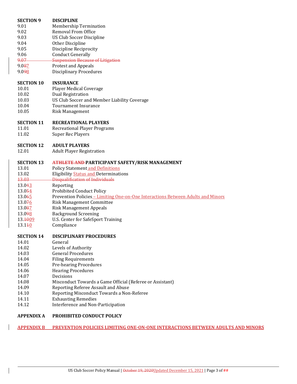| <b>SECTION 9</b>  | <b>DISCIPLINE</b>                                                                |
|-------------------|----------------------------------------------------------------------------------|
| 9.01              | <b>Membership Termination</b>                                                    |
| 9.02              | Removal From Office                                                              |
| 9.03              | <b>US Club Soccer Discipline</b>                                                 |
| 9.04              | Other Discipline                                                                 |
| 9.05              | <b>Discipline Reciprocity</b>                                                    |
| 9.06              | <b>Conduct Generally</b>                                                         |
| 9.07              | <b>Suspension Because of Litigation</b>                                          |
| 9.087             | <b>Protest and Appeals</b>                                                       |
| 9.098             | <b>Disciplinary Procedures</b>                                                   |
|                   |                                                                                  |
| <b>SECTION 10</b> | <b>INSURANCE</b>                                                                 |
| 10.01             | Player Medical Coverage                                                          |
| 10.02             | <b>Dual Registration</b>                                                         |
| 10.03             | US Club Soccer and Member Liability Coverage                                     |
| 10.04             | <b>Tournament Insurance</b>                                                      |
| 10.05             | Risk Management                                                                  |
|                   |                                                                                  |
| <b>SECTION 11</b> | <b>RECREATIONAL PLAYERS</b>                                                      |
| 11.01             | <b>Recreational Player Programs</b>                                              |
| 11.02             | <b>Super Rec Players</b>                                                         |
|                   |                                                                                  |
| <b>SECTION 12</b> | <b>ADULT PLAYERS</b>                                                             |
| 12.01             | <b>Adult Player Registration</b>                                                 |
|                   |                                                                                  |
| <b>SECTION 13</b> | ATHLETE AND PARTICIPANT SAFETY/RISK MANAGEMENT                                   |
| 13.01             | <b>Policy Statement and Definitions</b>                                          |
| 13.02             | <b>Eligibility Status and Determinations</b>                                     |
| 13.03             | Disqualification of Individuals                                                  |
| 13.043            | Reporting                                                                        |
| 13.054            | <b>Prohibited Conduct Policy</b>                                                 |
| 13.065            | Prevention Policies - Limiting One-on-One Interactions Between Adults and Minors |
| 13.076            | <b>Risk Management Committee</b>                                                 |
| 13.087            | <b>Risk Management Appeals</b>                                                   |
| 13.098            | <b>Background Screening</b>                                                      |
| 13 1009           | U.S. Center for SafeSport Training                                               |
|                   |                                                                                  |
| 13.140            | Compliance                                                                       |
|                   |                                                                                  |
| <b>SECTION 14</b> | <b>DISCIPLINARY PROCEDURES</b>                                                   |
| 14.01             | General                                                                          |
| 14.02             | Levels of Authority                                                              |
| 14.03             | <b>General Procedures</b>                                                        |
| 14.04             | <b>Filing Requirements</b>                                                       |
| 14.05             | Pre-hearing Procedures                                                           |
| 14.06             | <b>Hearing Procedures</b>                                                        |
| 14.07             | Decisions                                                                        |
| 14.08             | Misconduct Towards a Game Official (Referee or Assistant)                        |
| 14.09             | Reporting Referee Assault and Abuse                                              |
| 14.10             | Reporting Misconduct Towards a Non-Referee                                       |
| 14.11             | <b>Exhausting Remedies</b>                                                       |
| 14.12             | Interference and Non-Participation                                               |

# **APPENDIX A PROHIBITED CONDUCT POLICY**

# **APPENDIX B PREVENTION POLICIES LIMITING ONE‐ON‐ONE INTERACTIONS BETWEEN ADULTS AND MINORS**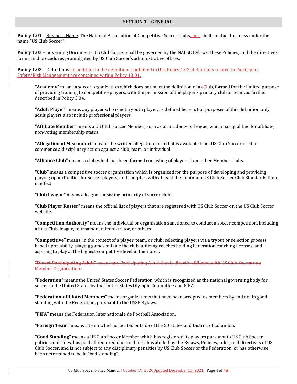#### **SECTION 1 – GENERAL:**

**Policy 1.01** – Business Name. The National Association of Competitive Soccer Clubs, Inc., shall conduct business under the name "US Club Soccer".

**Policy 1.02** – Governing Documents. US Club Soccer shall be governed by the NACSC Bylaws; these Policies; and the directives, forms, and procedures promulgated by US Club Soccer's administrative offices.

**Policy 1.03** – Definitions. In addition to the definitions contained in this Policy 1.03, definitions related to Participant Safety/Risk Management are contained within Policy 13.01.

**"Academy"** means a soccer organization which does not meet the definition of a  $\epsilon$ Club, formed for the limited purpose of providing training to competitive players, with the permission of the player's primary club or team, as further described in Policy 3.04.

**"Adult Player"** means any player who is not a youth player, as defined herein. For purposes of this definition only, adult players also include professional players.

**"Affiliate Member"** means a US Club Soccer Member, such as an academy or league, which has qualified for affiliate, non-voting membership status.

**"Allegation of Misconduct"** means the written allegation form that is available from US Club Soccer used to commence a disciplinary action against a club, team, or individual.

**"Alliance Club"** means a club which has been formed consisting of players from other Member Clubs.

**"Club"** means a competitive soccer organization which is organized for the purpose of developing and providing playing opportunities for soccer players, and complies with at least the minimum US Club Soccer Club Standards then in effect.

**"Club League"** means a league consisting primarily of soccer clubs.

**"Club Player Roster"** means the official list of players that are registered with US Club Soccer on the US Club Soccer website.

**"Competition Authority"** means the individual or organization sanctioned to conduct a soccer competition, including a host Club, league, tournament administrator, or others.

**"Competitive"** means, in the context of a player, team, or club: selecting players via a tryout or selection process based upon ability, playing games outside the club, utilizing coaches holding Federation coaching licenses, and aspiring to play at the highest competitive level in their area.

**"Direct Participating Adult"** means any Participating Adult that is directly affiliated with US Club Soccer or a Member Organization.

**"Federation"** means the United States Soccer Federation, which is recognized as the national governing body for soccer in the United States by the United States Olympic Committee and FIFA.

**"Federation‐affiliated Members"** means organizations that have been accepted as members by and are in good standing with the Federation, pursuant to the USSF Bylaws.

**"FIFA"** means the Federation Internationale de Football Association.

**"Foreign Team"** means a team which is located outside of the 50 States and District of Columbia.

**"Good Standing"** means a US Club Soccer Member which has registered its players pursuant to US Club Soccer policies and rules, has paid all required dues and fees, has abided by the Bylaws, Policies, rules, and directives of US Club Soccer, and is not subject to any disciplinary penalties by US Club Soccer or the Federation, or has otherwise been determined to be in "bad standing".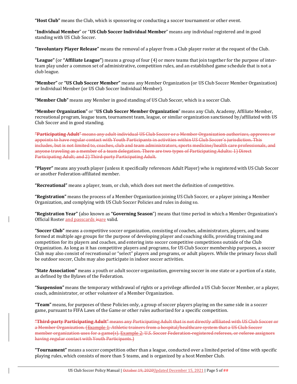**"Host Club"** means the Club, which is sponsoring or conducting a soccer tournament or other event.

"**Individual Member**" or "**US Club Soccer Individual Member**" means any individual registered and in good standing with US Club Soccer.

**"Involuntary Player Release"** means the removal of a player from a Club player roster at the request of the Club.

**"League"** (or **"Affiliate League"**) means a group of four (4) or more teams that join together for the purpose of interteam play under a common set of administrative, competition rules, and an established game schedule that is not a club league.

**"Member"** or **"US Club Soccer Member"** means any Member Organization (or US Club Soccer Member Organization) or Individual Member (or US Club Soccer Individual Member).

**"Member Club"** means any Member in good standing of US Club Soccer, which is a soccer Club.

**"Member Organization"** or "**US Club Soccer Member Organization**" means any Club, Academy, Affiliate Member, recreational program, league team, tournament team, league, or similar organization sanctioned by/affiliated with US Club Soccer and in good standing.

**"Participating Adult"** means any adult individual US Club Soccer or a Member Organization authorizes, approves or appoints to have regular contact with Youth Participants in activities within US Club Soccer's jurisdiction. This includes, but is not limited to, coaches, club and team administrators, sports medicine/health care professionals, and anyone traveling as a member of a team delegation. There are two types of Participating Adults: 1) Direct Participating Adult; and 2) Third-party Participating Adult.

**"Player"** means any youth player (unless it specifically references Adult Player) who is registered with US Club Soccer or another Federation-affiliated member.

**"Recreational"** means a player, team, or club, which does not meet the definition of competitive.

**"Registration"** means the process of a Member Organization joining US Club Soccer, or a player joining a Member Organization, and complying with US Club Soccer Policies and rules in doing so.

**"Registration Year"** (also known as **"Governing Season**") means that time period in which a Member Organization's Official Roster and passcards isare valid.

**"Soccer Club"** means a competitive soccer organization, consisting of coaches, administrators, players, and teams formed at multiple age groups for the purpose of developing player and coaching skills, providing training and competition for its players and coaches, and entering into soccer competitive competitions outside of the Club Organization. As long as it has competitive players and programs, for US Club Soccer membership purposes, a soccer Club may also consist of recreational or "select" players and programs, or adult players. While the primary focus shall be outdoor soccer, Clubs may also participate in indoor soccer activities.

**"State Association"** means a youth or adult soccer organization, governing soccer in one state or a portion of a state, as defined by the Bylaws of the Federation.

**"Suspension"** means the temporary withdrawal of rights or a privilege afforded a US Club Soccer Member, or a player, coach, administrator, or other volunteer of a Member Organization.

**"Team"** means, for purposes of these Policies only, a group of soccer players playing on the same side in a soccer game, pursuant to FIFA Laws of the Game or other rules authorized for a specific competition.

**"Third‐party Participating Adult"** means any Participating Adult that is not directly affiliated with US Club Soccer or a Member Organization. (Example 1: Athletic trainers from a hospital/healthcare system that a US Club Soccer member organization uses for a game(s). Example 2: U.S. Soccer Federation-registered referees, or referee assignors having regular contact with Youth Participants.

**"Tournament"** means a soccer competition other than a league, conducted over a limited period of time with specific playing rules, which consists of more than 5 teams, and is organized by a host Member Club.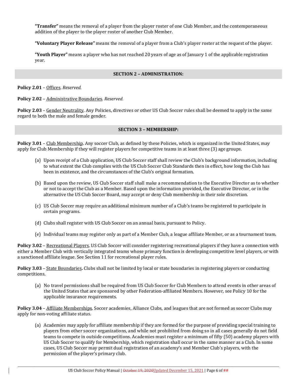**"Transfer"** means the removal of a player from the player roster of one Club Member, and the contemporaneous addition of the player to the player roster of another Club Member.

**"Voluntary Player Release"** means the removal of a player from a Club's player roster at the request of the player.

**"Youth Player"** means a player who has not reached 20 years of age as of January 1 of the applicable registration year.

#### **SECTION 2 – ADMINISTRATION:**

**Policy 2.01** – Offices. *Reserved.*

**Policy 2.02** – Administrative Boundaries. *Reserved.*

**Policy 2.03** – Gender Neutrality. Any Policies, directives or other US Club Soccer rules shall be deemed to apply in the same regard to both the male and female gender.

## **SECTION 3 – MEMBERSHIP:**

**Policy 3.01** – Club Membership. Any soccer Club, as defined by these Policies, which is organized in the United States, may apply for Club Membership if they will register players for competitive teams in at least three (3) age groups.

- (a) Upon receipt of a Club application, US Club Soccer staff shall review the Club's background information, including to what extent the Club complies with the US Club Soccer Club Standards then in effect, how long the Club has been in existence, and the circumstances of the Club's original formation.
- (b) Based upon the review, US Club Soccer staff shall make a recommendation to the Executive Director as to whether or not to accept the Club as a Member. Based upon the information provided, the Executive Director, or in the alternative the US Club Soccer Board, may accept or deny Club membership in their sole discretion.
- (c) US Club Soccer may require an additional minimum number of a Club's teams be registered to participate in certain programs.
- (d) Clubs shall register with US Club Soccer on an annual basis, pursuant to Policy.
- (e) Individual teams may register only as part of a Member Club, a league affiliate Member, or as a tournament team.

**Policy 3.02** – Recreational Players. US Club Soccer will consider registering recreational players if they have a connection with either a Member Club with vertically integrated teams whose primary function is developing competitive level players, or with a sanctioned affiliate league. See Section 11 for recreational player rules.

**Policy 3.03** – State Boundaries**.** Clubs shall not be limited by local or state boundaries in registering players or conducting competitions.

(a) No travel permissions shall be required from US Club Soccer for Club Members to attend events in other areas of the United States that are sponsored by other Federation-affiliated Members. However, see Policy 10 for the applicable insurance requirements.

**Policy 3.04** – Affiliate Memberships. Soccer academies, Alliance Clubs, and leagues that are not formed as soccer Clubs may apply for non-voting affiliate status.

(a) Academies may apply for affiliate membership if they are formed for the purpose of providing special training to players from other soccer organizations, and while not prohibited from doing so in all cases generally do not field teams to compete in outside competitions. Academies must register a minimum of fifty (50) academy players with US Club Soccer to qualify for Membership, which registration shall occur in the same manner as a Club. In some cases, US Club Soccer may permit dual registration of an academy's and Member Club's players, with the permission of the player's primary club.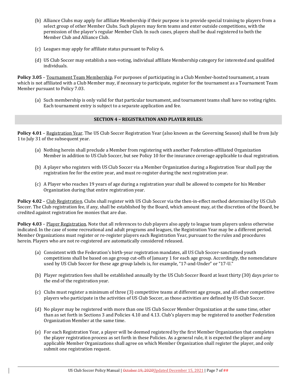- (b) Alliance Clubs may apply for affiliate Membership if their purpose is to provide special training to players from a select group of other Member Clubs. Such players may form teams and enter outside competitions, with the permission of the player's regular Member Club. In such cases, players shall be dual registered to both the Member Club and Alliance Club.
- (c) Leagues may apply for affiliate status pursuant to Policy 6.
- (d) US Club Soccer may establish a non-voting, individual affiliate Membership category for interested and qualified individuals.

**Policy 3.05** – Tournament Team Membership. For purposes of participating in a Club Member-hosted tournament, a team which is not affiliated with a Club Member may, if necessary to participate, register for the tournament as a Tournament Team Member pursuant to Policy 7.03.

(a) Such membership is only valid for that particular tournament, and tournament teams shall have no voting rights. Each tournament entry is subject to a separate application and fee.

# **SECTION 4 – REGISTRATION AND PLAYER RULES:**

**Policy 4.01** – Registration Year. The US Club Soccer Registration Year (also known as the Governing Season) shall be from July 1 to July 31 of the subsequent year.

- (a) Nothing herein shall preclude a Member from registering with another Federation-affiliated Organization Member in addition to US Club Soccer, but see Policy 10 for the insurance coverage applicable to dual registration.
- (b) A player who registers with US Club Soccer via a Member Organization during a Registration Year shall pay the registration fee for the entire year, and must re-register during the next registration year.
- (c) A Player who reaches 19 years of age during a registration year shall be allowed to compete for his Member Organization during that entire registration year.

**Policy 4.02** – Club Registration. Clubs shall register with US Club Soccer via the then-in-effect method determined by US Club Soccer. The Club registration fee, if any, shall be established by the Board, which amount may, at the discretion of the Board, be credited against registration fee monies that are due.

**Policy 4.03** – Player Registration. Note that all references to club players also apply to league team players unless otherwise indicated. In the case of some recreational and adult programs and leagues, the Registration Year may be a different period. Member Organizations must register or re-register players each Registration Year, pursuant to the rules and procedures herein. Players who are not re-registered are automatically considered released.

- (a) Consistent with the Federation's birth-year registration mandates, all US Club Soccer-sanctioned youth competitions shall be based on age group cut-offs of January 1 for each age group. Accordingly, the nomenclature used by US Club Soccer for these age group labels is, for example, "17-and-Under" or "17-U."
- (b) Player registration fees shall be established annually by the US Club Soccer Board at least thirty (30) days prior to the end of the registration year.
- (c) Clubs must register a minimum of three (3) competitive teams at different age groups, and all other competitive players who participate in the activities of US Club Soccer, as those activities are defined by US Club Soccer.
- (d) No player may be registered with more than one US Club Soccer Member Organization at the same time, other than as set forth in Sections 3 and Policies 4.10 and 4.13. Club's players may be registered to another Federation Organization Member at the same time.
- (e) For each Registration Year, a player will be deemed registered by the first Member Organization that completes the player registration process as set forth in these Policies. As a general rule, it is expected the player and any applicable Member Organizations shall agree on which Member Organization shall register the player, and only submit one registration request.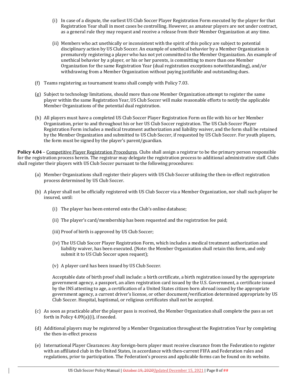- (i) In case of a dispute, the earliest US Club Soccer Player Registration Form executed by the player for that Registration Year shall in most cases be controlling. However, as amateur players are not under contract, as a general rule they may request and receive a release from their Member Organization at any time.
- (ii) Members who act unethically or inconsistent with the spirit of this policy are subject to potential disciplinary action by US Club Soccer. An example of unethical behavior by a Member Organization is prematurely registering a player who has not yet committed to the Member Organization. An example of unethical behavior by a player, or his or her parents, is committing to more than one Member Organization for the same Registration Year (dual registration exceptions notwithstanding), and/or withdrawing from a Member Organization without paying justifiable and outstanding dues.
- (f) Teams registering as tournament teams shall comply with Policy 7.03.
- (g) Subject to technology limitations, should more than one Member Organization attempt to register the same player within the same Registration Year, US Club Soccer will make reasonable efforts to notify the applicable Member Organizations of the potential dual registration.
- (h) All players must have a completed US Club Soccer Player Registration Form on file with his or her Member Organization, prior to and throughout his or her US Club Soccer registration. The US Club Soccer Player Registration Form includes a medical treatment authorization and liability waiver, and the form shall be retained by the Member Organization and submitted to US Club Soccer, if requested by US Club Soccer. For youth players, the form must be signed by the player's parent/guardian.

**Policy 4.04** – Competitive Player Registration Procedures. Clubs shall assign a registrar to be the primary person responsible for the registration process herein. The registrar may delegate the registration process to additional administrative staff. Clubs shall register their players with US Club Soccer pursuant to the following procedures:

- (a) Member Organizations shall register their players with US Club Soccer utilizing the then-in-effect registration process determined by US Club Soccer.
- (b) A player shall not be officially registered with US Club Soccer via a Member Organization, nor shall such player be insured, until:
	- (i) The player has been entered onto the Club's online database;
	- (ii) The player's card/membership has been requested and the registration fee paid;
	- (iii) Proof of birth is approved by US Club Soccer;
	- (iv) The US Club Soccer Player Registration Form, which includes a medical treatment authorization and liability waiver, has been executed. (Note: the Member Organization shall retain this form, and only submit it to US Club Soccer upon request);
	- (v) A player card has been issued by US Club Soccer.

Acceptable date of birth proof shall include: a birth certificate, a birth registration issued by the appropriate government agency, a passport, an alien registration card issued by the U.S. Government, a certificate issued by the INS attesting to age, a certification of a United States citizen born abroad issued by the appropriate government agency, a current driver's license, or other document/verification determined appropriate by US Club Soccer. Hospital, baptismal, or religious certificates shall not be accepted.

- (c) As soon as practicable after the player pass is received, the Member Organization shall complete the pass as set forth in Policy 4.09(a)(i), if needed.
- (d) Additional players may be registered by a Member Organization throughout the Registration Year by completing the then-in-effect process
- (e) International Player Clearances: Any foreign-born player must receive clearance from the Federation to register with an affiliated club in the United States, in accordance with then-current FIFA and Federation rules and regulations, prior to participation. The Federation's process and applicable forms can be found on its website.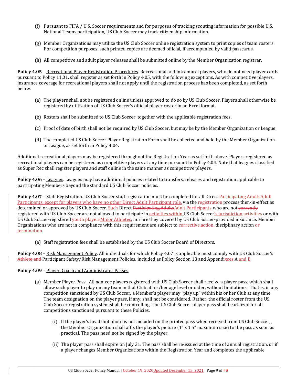- (f) Pursuant to FIFA / U.S. Soccer requirements and for purposes of tracking scouting information for possible U.S. National Teams participation, US Club Soccer may track citizenship information.
- (g) Member Organizations may utilize the US Club Soccer online registration system to print copies of team rosters. For competition purposes, such printed copies are deemed official, if accompanied by valid passcards.
- (h) All competitive and adult player releases shall be submitted online by the Member Organization registrar.

**Policy 4.05** – Recreational Player Registration Procedures. Recreational and intramural players, who do not need player cards pursuant to Policy 11.01, shall register as set forth in Policy 4.05, with the following exceptions. As with competitive players, insurance coverage for recreational players shall not apply until the registration process has been completed, as set forth below.

- (a) The players shall not be registered online unless approved to do so by US Club Soccer. Players shall otherwise be registered by utilization of US Club Soccer's official player roster in an Excel format.
- (b) Rosters shall be submitted to US Club Soccer, together with the applicable registration fees.
- (c) Proof of date of birth shall not be required by US Club Soccer, but may be by the Member Organization or League.
- (d) The completed US Club Soccer Player Registration Form shall be collected and held by the Member Organization or League, as set forth in Policy 4.04.

Additional recreational players may be registered throughout the Registration Year as set forth above. Players registered as recreational players can be registered as competitive players at any time pursuant to Policy 4.04. Note that leagues classified as Super Rec shall register players and staff online in the same manner as competitive players.

**Policy 4.06** – Leagues. Leagues may have additional policies related to transfers, releases and registration applicable to participating Members beyond the standard US Club Soccer policies.

**Policy 4.07** – Staff Registration. US Club Soccer staff registration must be completed for all Direct Participating AdultsAdult Participants, except for players who have no other Direct Adult Participant role, via the registration process then-in-effect as determined or approved by US Club Soccer. Such Direct Participating AdultsAdult Participants who are not currently registered with US Club Soccer are not allowed to participate in activities within US Club Soccer's jurisdiction activities or with US Club Soccer-registered <del>youth players</del>Minor Athletes, nor are they covered by US Club Soccer-provided insurance. Member Organizations who are not in compliance with this requirement are subject to corrective action, disciplinary action or **termination** 

(a) Staff registration fees shall be established by the US Club Soccer Board of Directors.

**Policy 4.08** – Risk Management Policy. All individuals for which Policy 4.07 is applicable must comply with US Club Soccer's Athlete and Participant Safety/Risk Management Policies, included as Policy Section 13 and Appendixces A and B.

## **Policy 4.09** – Player, Coach and Administrator Passes.

- (a) Member Player Pass. All non-rec players registered with US Club Soccer shall receive a player pass, which shall allow such player to play on any team in that Club at his/her age level or older, without limitations. That is, in any competition sanctioned by US Club Soccer, a Member's player may "play up" within his or her Club at any time. The team designation on the player pass, if any, shall not be considered. Rather, the official roster from the US Club Soccer registration system shall be controlling. The US Club Soccer player pass shall be utilized for all competitions sanctioned pursuant to these Policies.
	- (i) If the player's headshot photo is not included on the printed pass when received from US Club Soccer, , the Member Organization shall affix the player's picture (1" x 1.5" maximum size) to the pass as soon as practical. The pass need not be signed by the player.
	- (ii) The player pass shall expire on July 31. The pass shall be re-issued at the time of annual registration, or if a player changes Member Organizations within the Registration Year and completes the applicable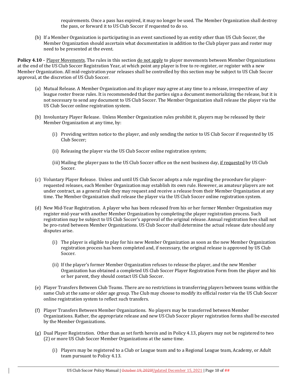requirements. Once a pass has expired, it may no longer be used. The Member Organization shall destroy the pass, or forward it to US Club Soccer if requested to do so.

(b) If a Member Organization is participating in an event sanctioned by an entity other than US Club Soccer, the Member Organization should ascertain what documentation in addition to the Club player pass and roster may need to be presented at the event.

**Policy** 4.10 – Player Movements. The rules in this section do not apply to player movements between Member Organizations at the end of the US Club Soccer Registration Year, at which point any player is free to re-register, or register with a new Member Organization. All mid-registration year releases shall be controlled by this section may be subject to US Club Soccer approval, at the discretion of US Club Soccer.

- (a) Mutual Release. A Member Organization and its player may agree at any time to a release, irrespective of any league roster freeze rules. It is recommended that the parties sign a document memorializing the release, but it is not necessary to send any document to US Club Soccer. The Member Organization shall release the player via the US Club Soccer online registration system.
- (b) Involuntary Player Release. Unless Member Organization rules prohibit it, players may be released by their Member Organization at any time, by:
	- (i) Providing written notice to the player, and only sending the notice to US Club Soccer if requested by US Club Soccer;
	- (ii) Releasing the player via the US Club Soccer online registration system;
	- (iii) Mailing the player pass to the US Club Soccer office on the next business day, if requested by US Club Soccer.
- (c) Voluntary Player Release. Unless and until US Club Soccer adopts a rule regarding the procedure for playerrequested releases, each Member Organization may establish its own rule. However, as amateur players are not under contract, as a general rule they may request and receive a release from their Member Organization at any time. The Member Organization shall release the player via the US Club Soccer online registration system.
- (d) New Mid-Year Registration. A player who has been released from his or her former Member Organization may register mid-year with another Member Organization by completing the player registration process. Such registration may be subject to US Club Soccer's approval of the original release. Annual registration fees shall not be pro-rated between Member Organizations. US Club Soccer shall determine the actual release date should any disputes arise.
	- (i) The player is eligible to play for his new Member Organization as soon as the new Member Organization registration process has been completed and, if necessary, the original release is approved by US Club Soccer.
	- (ii) If the player's former Member Organization refuses to release the player, and the new Member Organization has obtained a completed US Club Soccer Player Registration Form from the player and his or her parent, they should contact US Club Soccer.
- (e) Player Transfers Between Club Teams. There are no restrictions in transferring players between teams within the same Club at the same or older age group. The Club may choose to modify its official roster via the US Club Soccer online registration system to reflect such transfers.
- (f) Player Transfers Between Member Organizations. No players may be transferred between Member Organizations. Rather, the appropriate release and new US Club Soccer player registration forms shall be executed by the Member Organizations.
- (g) Dual Player Registration. Other than as set forth herein and in Policy 4.13, players may not be registered to two (2) or more US Club Soccer Member Organizations at the same time.
	- (i) Players may be registered to a Club or League team and to a Regional League team, Academy, or Adult team pursuant to Policy 4.13.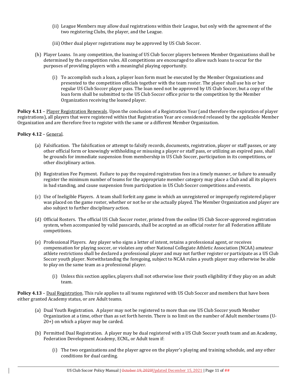- (ii) League Members may allow dual registrations within their League, but only with the agreement of the two registering Clubs, the player, and the League.
- (iii) Other dual player registrations may be approved by US Club Soccer.
- (h) Player Loans. In any competition, the loaning of US Club Soccer players between Member Organizations shall be determined by the competition rules. All competitions are encouraged to allow such loans to occur for the purposes of providing players with a meaningful playing opportunity.
	- (i) To accomplish such a loan, a player loan form must be executed by the Member Organizations and presented to the competition officials together with the team roster. The player shall use his or her regular US Club Soccer player pass. The loan need not be approved by US Club Soccer, but a copy of the loan form shall be submitted to the US Club Soccer office prior to the competition by the Member Organization receiving the loaned player.

**Policy 4.11** – Player Registration Renewals. Upon the conclusion of a Registration Year (and therefore the expiration of player registrations), all players that were registered within that Registration Year are considered released by the applicable Member Organization and are therefore free to register with the same or a different Member Organization.

## **Policy 4.12** – General.

- (a) Falsification. The falsification or attempt to falsify records, documents, registration, player or staff passes, or any other official form or knowingly withholding or misusing a player or staff pass, or utilizing an expired pass, shall be grounds for immediate suspension from membership in US Club Soccer, participation in its competitions, or other disciplinary action.
- (b) Registration Fee Payment. Failure to pay the required registration fees in a timely manner, or failure to annually register the minimum number of teams for the appropriate member category may place a Club and all its players in bad standing, and cause suspension from participation in US Club Soccer competitions and events.
- (c) Use of Ineligible Players. A team shall forfeit any game in which an unregistered or improperly registered player was placed on the game roster, whether or not he or she actually played. The Member Organization and player are also subject to further disciplinary action.
- (d) Official Rosters. The official US Club Soccer roster, printed from the online US Club Soccer-approved registration system, when accompanied by valid passcards, shall be accepted as an official roster for all Federation affiliate competitions.
- (e) Professional Players. Any player who signs a letter of intent, retains a professional agent, or receives compensation for playing soccer, or violates any other National Collegiate Athletic Association (NCAA) amateur athlete restrictions shall be declared a professional player and may not further register or participate as a US Club Soccer youth player. Notwithstanding the foregoing, subject to NCAA rules a youth player may otherwise be able to play on the same team as a professional player.
	- (i) Unless this section applies, players shall not otherwise lose their youth eligibility if they play on an adult team.

**Policy** 4.13 – Dual Registration. This rule applies to all teams registered with US Club Soccer and members that have been either granted Academy status, or are Adult teams.

- (a) Dual Youth Registration. A player may not be registered to more than one US Club Soccer youth Member Organization at a time, other than as set forth herein. There is no limit on the number of Adult member teams (U-20+) on which a player may be carded.
- (b) Permitted Dual Registration. A player may be dual registered with a US Club Soccer youth team and an Academy, Federation Development Academy, ECNL, or Adult team if:
	- (i) The two organizations and the player agree on the player's playing and training schedule, and any other conditions for dual carding.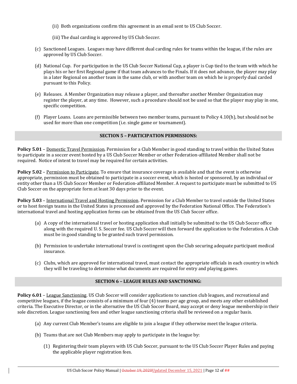- (ii) Both organizations confirm this agreement in an email sent to US Club Soccer.
- (iii) The dual carding is approved by US Club Soccer.
- (c) Sanctioned Leagues. Leagues may have different dual carding rules for teams within the league, if the rules are approved by US Club Soccer.
- (d) National Cup. For participation in the US Club Soccer National Cup, a player is Cup tied to the team with which he plays his or her first Regional game if that team advances to the Finals. If it does not advance, the player may play in a later Regional on another team in the same club, or with another team on which he is properly dual carded pursuant to this Policy.
- (e) Releases. A Member Organization may release a player, and thereafter another Member Organization may register the player, at any time. However, such a procedure should not be used so that the player may play in one, specific competition.
- (f) Player Loans. Loans are permissible between two member teams, pursuant to Policy 4.10(h), but should not be used for more than one competition (i.e. single game or tournament).

## **SECTION 5 – PARTICIPATION PERMISSIONS:**

**Policy 5.01** – Domestic Travel Permission. Permission for a Club Member in good standing to travel within the United States to participate in a soccer event hosted by a US Club Soccer Member or other Federation-affiliated Member shall not be required. Notice of intent to travel may be required for certain activities.

**Policy 5.02** – Permission to Participate. To ensure that insurance coverage is available and that the event is otherwise appropriate, permission must be obtained to participate in a soccer event, which is hosted or sponsored, by an individual or entity other than a US Club Soccer Member or Federation-affiliated Member. A request to participate must be submitted to US Club Soccer on the appropriate form at least 30 days prior to the event.

**Policy 5.03** – International Travel and Hosting Permission. Permission for a Club Member to travel outside the United States or to host foreign teams in the United States is processed and approved by the Federation National Office. The Federation's international travel and hosting application forms can be obtained from the US Club Soccer office.

- (a) A copy of the international travel or hosting application shall initially be submitted to the US Club Soccer office along with the required U. S. Soccer fee. US Club Soccer will then forward the application to the Federation. A Club must be in good standing to be granted such travel permission.
- (b) Permission to undertake international travel is contingent upon the Club securing adequate participant medical insurance.
- (c) Clubs, which are approved for international travel, must contact the appropriate officials in each country in which they will be traveling to determine what documents are required for entry and playing games.

## **SECTION 6 – LEAGUE RULES AND SANCTIONING:**

**Policy 6.01** – League Sanctioning. US Club Soccer will consider applications to sanction club leagues, and recreational and competitive leagues, if the league consists of a minimum of four (4) teams per age group, and meets any other established criteria. The Executive Director, or in the alternative the US Club Soccer Board, may accept or deny league membership in their sole discretion. League sanctioning fees and other league sanctioning criteria shall be reviewed on a regular basis.

- (a) Any current Club Member's teams are eligible to join a league if they otherwise meet the league criteria.
- (b) Teams that are not Club Members may apply to participate in the league by:
	- (1) Registering their team players with US Club Soccer, pursuant to the US Club Soccer Player Rules and paying the applicable player registration fees.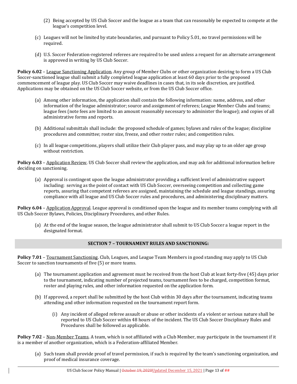- (2) Being accepted by US Club Soccer and the league as a team that can reasonably be expected to compete at the league's competition level.
- (c) Leagues will not be limited by state boundaries, and pursuant to Policy 5.01, no travel permissions will be required.
- (d) U.S. Soccer Federation-registered referees are required to be used unless a request for an alternate arrangement is approved in writing by US Club Soccer.

**Policy 6.02** – League Sanctioning Application. Any group of Member Clubs or other organization desiring to form a US Club Soccer-sanctioned league shall submit a fully completed league application at least 60 days prior to the proposed commencement of league play. US Club Soccer may waive deadlines in cases that, in its sole discretion, are justified. Applications may be obtained on the US Club Soccer website, or from the US Club Soccer office.

- (a) Among other information, the application shall contain the following information: name, address, and other information of the league administrator; source and assignment of referees; League Member Clubs and teams; league fees (note fees are limited to an amount reasonably necessary to administer the league); and copies of all administrative forms and reports.
- (b) Additional submittals shall include: the proposed schedule of games; bylaws and rules of the league; discipline procedures and committee; roster size, freeze, and other roster rules; and competition rules.
- (c) In all league competitions, players shall utilize their Club player pass, and may play up to an older age group without restriction.

**Policy 6.03** – Application Review. US Club Soccer shall review the application, and may ask for additional information before deciding on sanctioning.

(a) Approval is contingent upon the league administrator providing a sufficient level of administrative support including: serving as the point of contact with US Club Soccer, overseeing competition and collecting game reports, assuring that competent referees are assigned, maintaining the schedule and league standings, assuring compliance with all league and US Club Soccer rules and procedures, and administering disciplinary matters.

**Policy 6.04** – Application Approval. League approval is conditioned upon the league and its member teams complying with all US Club Soccer Bylaws, Policies, Disciplinary Procedures, and other Rules.

(a) At the end of the league season, the league administrator shall submit to US Club Soccer a league report in the designated format.

## **SECTION 7 – TOURNAMENT RULES AND SANCTIONING:**

**Policy 7.01** – Tournament Sanctioning. Club, Leagues, and League Team Members in good standing may apply to US Club Soccer to sanction tournaments of five (5) or more teams.

- (a) The tournament application and agreement must be received from the host Club at least forty-five (45) days prior to the tournament, indicating number of projected teams, tournament fees to be charged, competition format, roster and playing rules, and other information requested on the application form.
- (b) If approved, a report shall be submitted by the host Club within 30 days after the tournament, indicating teams attending and other information requested on the tournament report form.
	- (i) Any incident of alleged referee assault or abuse or other incidents of a violent or serious nature shall be reported to US Club Soccer within 48 hours of the incident. The US Club Soccer Disciplinary Rules and Procedures shall be followed as applicable.

**Policy 7.02** – Non-Member Teams. A team, which is not affiliated with a Club Member, may participate in the tournament if it is a member of another organization, which is a Federation-affiliated Member.

(a) Such team shall provide proof of travel permission, if such is required by the team's sanctioning organization, and proof of medical insurance coverage.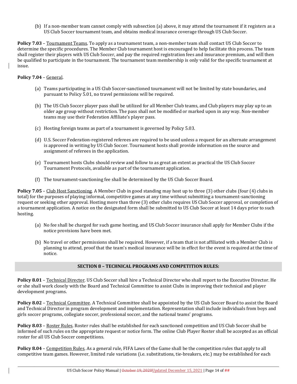(b) If a non-member team cannot comply with subsection (a) above, it may attend the tournament if it registers as a US Club Soccer tournament team, and obtains medical insurance coverage through US Club Soccer.

**Policy 7.03** – Tournament Teams. To apply as a tournament team, a non-member team shall contact US Club Soccer to determine the specific procedures. The Member Club tournament host is encouraged to help facilitate this process. The team shall register their players with US Club Soccer, and pay the required registration fees and insurance premium, and will then be qualified to participate in the tournament. The tournament team membership is only valid for the specific tournament at issue.

# **Policy 7.04** – General.

- (a) Teams participating in a US Club Soccer-sanctioned tournament will not be limited by state boundaries, and pursuant to Policy 5.01, no travel permissions will be required.
- (b) The US Club Soccer player pass shall be utilized for all Member Club teams, and Club players may play up to an older age group without restriction. The pass shall not be modified or marked upon in any way. Non-member teams may use their Federation Affiliate's player pass.
- (c) Hosting foreign teams as part of a tournament is governed by Policy 5.03.
- (d) U.S. Soccer Federation-registered referees are required to be used unless a request for an alternate arrangement is approved in writing by US Club Soccer. Tournament hosts shall provide information on the source and assignment of referees in the application.
- (e) Tournament hosts Clubs should review and follow to as great an extent as practical the US Club Soccer Tournament Protocols, available as part of the tournament application.
- (f) The tournament-sanctioning fee shall be determined by the US Club Soccer Board.

**Policy 7.05** – Club Host Sanctioning. A Member Club in good standing may host up to three (3) other clubs (four (4) clubs in total) for the purposes of playing informal, competitive games at any time without submitting a tournament-sanctioning request or seeking other approval. Hosting more than three (3) other clubs requires US Club Soccer approval, or completion of a tournament application. A notice on the designated form shall be submitted to US Club Soccer at least 14 days prior to such hosting.

- (a) No fee shall be charged for such game hosting, and US Club Soccer insurance shall apply for Member Clubs if the notice provisions have been met.
- (b) No travel or other permissions shall be required. However, if a team that is not affiliated with a Member Club is planning to attend, proof that the team's medical insurance will be in effect for the event is required at the time of notice.

## **SECTION 8 – TECHNICAL PROGRAMS AND COMPETITION RULES:**

**Policy 8.01** – Technical Director. US Club Soccer shall hire a Technical Director who shall report to the Executive Director. He or she shall work closely with the Board and Technical Committee to assist Clubs in improving their technical and player development programs.

**Policy 8.02** – Technical Committee. A Technical Committee shall be appointed by the US Club Soccer Board to assist the Board and Technical Director in program development and implementation. Representation shall include individuals from boys and girls soccer programs, collegiate soccer, professional soccer, and the national teams' programs.

**Policy 8.03** – Roster Rules. Roster rules shall be established for each sanctioned competition and US Club Soccer shall be informed of such rules on the appropriate request or notice form. The online Club Player Roster shall be accepted as an official roster for all US Club Soccer competitions.

**Policy 8.04** – Competition Rules. As a general rule, FIFA Laws of the Game shall be the competition rules that apply to all competitive team games. However, limited rule variations (i.e. substitutions, tie-breakers, etc.) may be established for each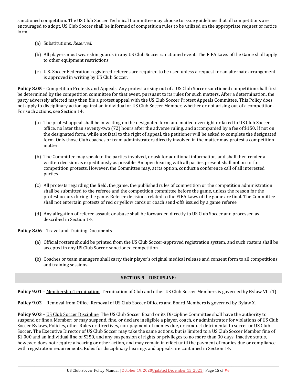sanctioned competition. The US Club Soccer Technical Committee may choose to issue guidelines that all competitions are encouraged to adopt. US Club Soccer shall be informed of competition rules to be utilized on the appropriate request or notice form.

- (a) Substitutions. *Reserved.*
- (b) All players must wear shin guards in any US Club Soccer sanctioned event. The FIFA Laws of the Game shall apply to other equipment restrictions.
- (c) U.S. Soccer Federation-registered referees are required to be used unless a request for an alternate arrangement is approved in writing by US Club Soccer.

**Policy 8.05** – Competition Protests and Appeals. Any protest arising out of a US Club Soccer sanctioned competition shall first be determined by the competition committee for that event, pursuant to its rules for such matters. After a determination, the party adversely affected may then file a protest appeal with the US Club Soccer Protest Appeals Committee. This Policy does not apply to disciplinary action against an individual or US Club Soccer Member, whether or not arising out of a competition. For such actions, see Section 14.

- (a) The protest appeal shall be in writing on the designated form and mailed overnight or faxed to US Club Soccer office, no later than seventy-two (72) hours after the adverse ruling, and accompanied by a fee of \$150. If not on the designated form, while not fatal to the right of appeal, the petitioner will be asked to complete the designated form. Only those Club coaches or team administrators directly involved in the matter may protest a competition matter.
- (b) The Committee may speak to the parties involved, or ask for additional information, and shall then render a written decision as expeditiously as possible. An open hearing with all parties present shall not occur for competition protests. However, the Committee may, at its option, conduct a conference call of all interested parties.
- (c) All protests regarding the field, the game, the published rules of competition or the competition administration shall be submitted to the referee and the competition committee before the game, unless the reason for the protest occurs during the game. Referee decisions related to the FIFA Laws of the game are final. The Committee shall not entertain protests of red or yellow cards or coach send-offs issued by a game referee.
- (d) Any allegation of referee assault or abuse shall be forwarded directly to US Club Soccer and processed as described in Section 14.

# **Policy 8.06** – Travel and Training Documents

- (a) Official rosters should be printed from the US Club Soccer-approved registration system, and such rosters shall be accepted in any US Club Soccer-sanctioned competition.
- (b) Coaches or team managers shall carry their player's original medical release and consent form to all competitions and training sessions.

# **SECTION 9 – DISCIPLINE:**

**Policy 9.01** – Membership Termination. Termination of Club and other US Club Soccer Members is governed by Bylaw VII (1).

**Policy 9.02** – Removal from Office. Removal of US Club Soccer Officers and Board Members is governed by Bylaw X.

**Policy 9.03** – US Club Soccer Discipline. The US Club Soccer Board or its Discipline Committee shall have the authority to suspend or fine a Member; or may suspend, fine, or declare ineligible a player, coach, or administrator for violations of US Club Soccer Bylaws, Policies, other Rules or directives, non-payment of monies due, or conduct detrimental to soccer or US Club Soccer. The Executive Director of US Club Soccer may take the same actions, but is limited to a US Club Soccer Member fine of \$1,000 and an individual fine of \$250, and any suspension of rights or privileges to no more than 30 days. Inactive status, however, does not require a hearing or other action, and may remain in effect until the payment of monies due or compliance with registration requirements. Rules for disciplinary hearings and appeals are contained in Section 14.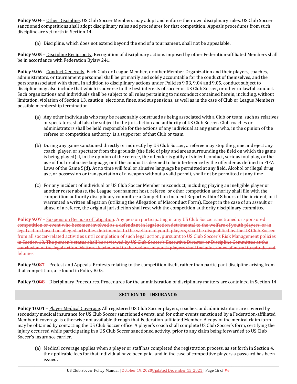**Policy 9.04** – Other Discipline. US Club Soccer Members may adopt and enforce their own disciplinary rules. US Club Soccer sanctioned competitions shall adopt disciplinary rules and procedures for that competition. Appeals procedures from such discipline are set forth in Section 14.

(a) Discipline, which does not extend beyond the end of a tournament, shall not be appealable.

**Policy 9.05** – Discipline Reciprocity. Recognition of disciplinary actions imposed by other Federation-affiliated Members shall be in accordance with Federation Bylaw 241.

**Policy 9.06** – Conduct Generally. Each Club or League Member, or other Member Organization and their players, coaches, administrators, or tournament personnel shall be primarily and solely accountable for the conduct of themselves, and the persons associated with them. In addition to disciplinary actions under Policies 9.03, 9.04 and 9.05, conduct subject to discipline may also include that which is adverse to the best interests of soccer or US Club Soccer, or other unlawful conduct. Such organizations and individuals shall be subject to all rules pertaining to misconduct contained herein, including, without limitation, violation of Section 13, caution, ejections, fines, and suspensions, as well as in the case of Club or League Members possible membership termination.

- (a) Any other individuals who may be reasonably construed as being associated with a Club or team, such as relatives or spectators, shall also be subject to the jurisdiction and authority of US Club Soccer. Club coaches or administrators shall be held responsible for the actions of any individual at any game who, in the opinion of the referee or competition authority, is a supporter of that Club or team.
- (b) During any game sanctioned directly or indirectly by US Club Soccer, a referee may stop the game and eject any coach, player, or spectator from the grounds (the field of play and areas surrounding the field on which the game is being played) if, in the opinion of the referee, the offender is guilty of violent conduct, serious foul play, or the use of foul or abusive language, or if the conduct is deemed to be interference by the offender as defined in FIFA Laws of the Game 5(d). At no time will foul or abusive language be permitted at any field. Alcohol or illegal drug use, or possession or transportation of a weapon without a valid permit, shall not be permitted at any time.
- (c) For any incident of individual or US Club Soccer Member misconduct, including playing an ineligible player or another roster abuse, the League, tournament host, referee, or other competition authority shall file with the competition authority disciplinary committee a Competition Incident Report within 48 hours of the incident, or if warranted a written allegation (utilizing the Allegation of Misconduct Form). Except in the case of an assault or abuse of a referee, the original jurisdiction shall rest with the competition authority disciplinary committee.

**Policy 9.07** – Suspension Because of Litigation. Any person participating in any US Club Soccer sanctioned or sponsored competition or event who becomes involved as a defendant in legal action detrimental to the welfare of youth players, or in legal action based on alleged activities detrimental to the welfare of youth players, shall be disqualified by the US Club Soccer from all soccer-related activities until completion of such legal action, pursuant to US Club Soccer's Risk Management policies in Section 13. The person's status shall be reviewed by US Club Soccer's Executive Director or Discipline Committee at the conclusion of the legal action. Matters detrimental to the welfare of youth players shall include crimes of moral turpitude and felonies.

**Policy 9.087** – Protest and Appeals. Protests relating to the competition itself, rather than participant discipline arising from that competition, are found in Policy 8.05.

**Policy 9.098** – Disciplinary Procedures. Procedures for the administration of disciplinary matters are contained in Section 14.

# **SECTION 10 – INSURANCE:**

**Policy 10.01** – Player Medical Coverage. All registered US Club Soccer players, coaches, and administrators are covered by secondary medical insurance for US Club Soccer sanctioned events, and for other events sanctioned by a Federation-affiliated Member if coverage is otherwise not available through that Federation-affiliated Member. A copy of the medical claim form may be obtained by contacting the US Club Soccer office. A player's coach shall complete US Club Soccer's form, certifying the injury occurred while participating in a US Club Soccer sanctioned activity, prior to any claim being forwarded to US Club Soccer's insurance carrier.

(a) Medical coverage applies when a player or staff has completed the registration process, as set forth in Section 4, the applicable fees for that individual have been paid, and in the case of competitive players a passcard has been issued.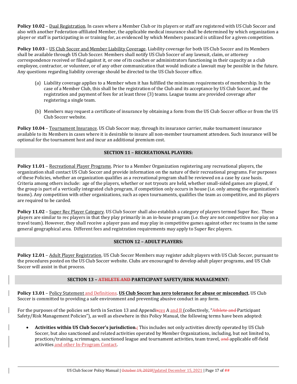**Policy 10.02** – Dual Registration. In cases where a Member Club or its players or staff are registered with US Club Soccer and also with another Federation-affiliated Member, the applicable medical insurance shall be determined by which organization a player or staff is participating in or training for, as evidenced by which Members passcard is utilized for a given competition.

**Policy 10.03** – US Club Soccer and Member Liability Coverage. Liability coverage for both US Club Soccer and its Members shall be available through US Club Soccer. Members shall notify US Club Soccer of any lawsuit, claim, or attorney correspondence received or filed against it, or one of its coaches or administrators functioning in their capacity as a club employee, contractor, or volunteer, or of any other communication that would indicate a lawsuit may be possible in the future. Any questions regarding liability coverage should be directed to the US Club Soccer office.

- (a) Liability coverage applies to a Member when it has fulfilled the minimum requirements of membership. In the case of a Member Club, this shall be the registration of the Club and its acceptance by US Club Soccer, and the registration and payment of fees for at least three (3) teams. League teams are provided coverage after registering a single team.
- (b) Members may request a certificate of insurance by obtaining a form from the US Club Soccer office or from the US Club Soccer website.

**Policy 10.04** – Tournament Insurance. US Club Soccer may, through its insurance carrier, make tournament insurance available to its Members in cases where it is desirable to insure all non-member tournament attendees. Such insurance will be optional for the tournament host and incur an additional premium cost.

# **SECTION 11 – RECREATIONAL PLAYERS:**

**Policy 11.01** – Recreational Player Programs. Prior to a Member Organization registering any recreational players, the organization shall contact US Club Soccer and provide information on the nature of their recreational programs. For purposes of these Policies, whether an organization qualifies as a recreational program shall be reviewed on a case by case basis. Criteria among others include: age of the players, whether or not tryouts are held, whether small-sided games are played, if the group is part of a vertically integrated club program, if competition only occurs in house (i.e. only among the organization's teams). Any competition with other organizations, such as open tournaments, qualifies the team as competitive, and its players are required to be carded.

**Policy 11.02** – Super Rec Player Category. US Club Soccer shall also establish a category of players termed Super Rec. These players are similar to rec players in that they play primarily in an in-house program (i.e. they are not competitive nor play on a travel team). However, they shall receive a player pass and may play in competitive games against other rec teams in the same general geographical area. Different fees and registration requirements may apply to Super Rec players.

## **SECTION 12 – ADULT PLAYERS:**

**Policy 12.01** – Adult Player Registration. US Club Soccer Members may register adult players with US Club Soccer, pursuant to the procedures posted on the US Club Soccer website. Clubs are encouraged to develop adult player programs, and US Club Soccer will assist in that process.

## **SECTION 13 – ATHLETE AND PARTICIPANT SAFETY/RISK MANAGEMENT:**

**Policy 13.01** – Policy Statement and Definitions. **US Club Soccer has zero tolerance for abuse or misconduct.** US Club Soccer is committed to providing a safe environment and preventing abusive conduct in any form.

For the purposes of the policies set forth in Section 13 and Appendixces A and B (collectively, "Athlete and Participant Safety/Risk Management Policies"), as well as elsewhere in this Policy Manual, the following terms have been adopted:

 **Activities within US Club Soccer's jurisdiction.:** This includes not only activities directly operated by US Club Soccer, but also sanctioned and related activities operated by Member Organizations, including, but not limited to, practices/training, scrimmages, sanctioned league and tournament activities, team travel, and applicable off-field activities and other In-Program Contact.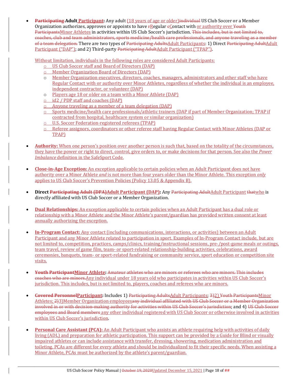**Participating Adult Participant:** Any adult (18 years of age or older)individual US Club Soccer or a Member Organization authorizes, approves or appoints to have  $\frac{1}{2}$  Regular  $\epsilon$ Contact with or authority over Youth ParticipantsMinor Athletes in activities within US Club Soccer's jurisdiction. This includes, but is not limited to, coaches, club and team administrators, sports medicine/health care professionals, and anyone traveling as a member of a team delegation. There are two types of Participating AdultsAdult Participants: 1) Direct Participating AdultAdult Participant ("DAP"); and 2) Third-party <del>Participating Adult Adult Participant ("TPAP")</del>.

Without limitation, individuals in the following roles are considered Adult Participants:

- o US Club Soccer staff and Board of Directors (DAP)
- o Member Organization Board of Directors (DAP)
- o Member Organization executives, directors, coaches, managers, administrators and other staff who have Regular Contact with or authority over Minor Athletes, regardless of whether the individual is an employee, independent contractor, or volunteer (DAP)
- o Players age 18 or older on a team with a Minor Athlete (DAP)
- o id2 / PDP staff and coaches (DAP)
- o Anyone traveling as a member of a team delegation (DAP)
- o Sports medicine/health care professionals/athletic trainers (DAP if part of Member Organization; TPAP if contracted from hospital, healthcare system or similar organization)
- o U.S. Soccer Federation-registered referees (TPAP)
- o Referee assignors, coordinators or other referee staff having Regular Contact with Minor Athletes (DAP or TPAP)
- **Authority:** When one person's position over another person is such that, based on the totality of the circumstances, they have the power or right to direct, control, give orders to, or make decisions for that person. See also the *Power Imbalance* definition in the SafeSport Code.
- **Close‐in‐Age Exception:** An exception applicable to certain policies when an Adult Participant does not have authority over a Minor Athlete *and* is not more than four years older than the Minor Athlete. This exception *only* applies to US Club Soccer's Prevention Policies (Policy 13.05 & Appendix B).
- **Direct Participating Adult (DPA)Adult Participant (DAP):** Any Participating AdultAdult Participant thatwho is directly affiliated with US Club Soccer or a Member Organization.
- **Dual Relationships:** An exception applicable to certain policies when an Adult Participant has a dual role or relationship with a Minor Athlete and the Minor Athlete's parent/guardian has provided written consent at least annually authorizing the exception.
- **In‐Program Contact:** Any contact (including communications, interactions, or activities) between an Adult Participant and any Minor Athlete related to participation in sport. Examples of In-Program Contact include, but are not limited to, competition, practices, camps/clinics, training/instructional sessions, pre-/post-game meals or outings, team travel, review of game film, team- or sport-related relationship-building activities, celebrations, award ceremonies, banquets, team- or sport-related fundraising or community service, sport education or competition site visits.
- **Youth ParticipantMinor Athlete:** Amateur athletes who are minors or referees who are minors. This includes coaches who are minors.Any individual under 18 years old who participates in activities within US Club Soccer's jurisdiction. This includes, but is not limited to, players, coaches and referees who are minors.
- **Covered PersonnelParticipant:** Includes 1) Participating AdultsAdult Participants; 3)2) Youth ParticipantsMinor Athletes; 2)3)Member Organization employeesany individual affiliated with US Club Soccer or a Member Organization involved in or with decision-making authority for activities within US Club Soccer's jurisdiction; and 4) US Club Soccer employees and Board members any other individual registered with US Club Soccer or otherwise involved in activities within US Club Soccer's jurisdiction.
- **Personal Care Assistant (PCA):** An Adult Participant who assists an athlete requiring help with activities of daily living (ADL) and preparation for athletic participation. This support can be provided by a Guide for Blind or visually impaired athletes or can include assistance with transfer, dressing, showering, medication administration and toileting. PCAs are different for every athlete and should be individualized to fit their specific needs. When assisting a Minor Athlete, PCAs must be authorized by the athlete's parent/guardian.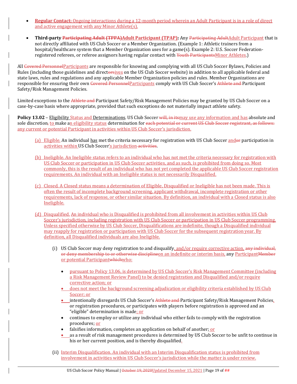- **Regular Contact:** Ongoing interactions during a 12-month period wherein an Adult Participant is in a role of direct and active engagement with any Minor Athlete(s).
- **Third‐party Participating Adult (TPPA)Adult Participant (TPAP):** Any Participating AdultAdult Participant that is not directly affiliated with US Club Soccer or a Member Organization. (Example 1: Athletic trainers from a hospital/healthcare system that a Member Organization uses for a game(s). Example 2: U.S. Soccer Federationregistered referees, or referee assignors having regular contact with Youth ParticipantsMinor Athletes.

All Covered PersonnelParticipants are responsible for knowing and complying with all US Club Soccer Bylaws, Policies and Rules (including those guidelines and directorsives on the US Club Soccer website) in addition to all applicable federal and state laws, rules and regulations and any applicable Member Organization policies and rules. Member Organizations are responsible for ensuring their own Covered PersonnelParticipants comply with US Club Soccer's Athlete and Participant Safety/Risk Management Policies.

Limited exceptions to the Athlete and Participant Safety/Risk Management Policies may be granted by US Club Soccer on a case-by-case basis where appropriate, provided that such exceptions do not materially impact athlete safety.

**Policy 13.02** – Eligibility Status and Determinations. US Club Soccer will, in itsmay use any information and has absolute and sole discretion, to make an eligibility status determination for each potential or current US Club Soccer registrant, as follows: any current or potential Participant in activities within US Club Soccer's jurisdiction.

- (a) Eligible. An individual has met the criteria necessary for registration with US Club Soccer andor participation in activities within US Club Soccer's jurisdiction activities.
- (b) Ineligible. An Ineligible status refers to an individual who has not met the criteria necessary for registration with US Club Soccer or participation in US Club Soccer activities, and as such, is prohibited from doing so. Most commonly, this is the result of an individual who has not yet completed the applicable US Club Soccer registration requirements. An individual with an Ineligible status is not necessarily Disqualified.
- (c) Closed. A Closed status means a determination of Eligible, Disqualified or Ineligible has not been made. This is often the result of incomplete background screening, applicant withdrawal, incomplete registration or other requirements, lack of response, or other similar situation. By definition, an individual with a Closed status is also Ineligible.
- (d) Disqualified. An individual who is Disqualified is prohibited from all involvement in activities within US Club Soccer's jurisdiction, including registration with US Club Soccer or participation in US Club Soccer programming. Unless specified otherwise by US Club Soccer, Disqualifications are indefinite, though a Disqualified individual may reapply for registration or participation with US Club Soccer for the subsequent registration year. By definition, all Disqualified individuals are also Ineligible.
	- (i) US Club Soccer may deny registration to and disqualify, and/or require corrective action, any individual, or deny membership to or otherwise disciplineon an indefinite or interim basis, any ParticipantMember or potential Participantwhichwho:
		- pursuant to Policy 13.06, is determined by US Club Soccer's Risk Management Committee (including a Risk Management Review Panel) to be denied registration and Disqualified and/or require corrective action; or
		- does not meet the background screening adjudication or eligibility criteria established by US Club Soccer; or
		- **•** intentionally disregards US Club Soccer's Athlete and Participant Safety/Risk Management Policies, or registration procedures, or participates with players before registration is approved and an "eligible" determination is made; or
		- continues to employ or utilize any individual who either fails to comply with the registration procedures; or
		- falsifies information, completes an application on behalf of another; or
		- as a result of risk management procedures is determined by US Club Soccer to be unfit to continue in his or her current position, and is thereby disqualified.
	- (ii) Interim Disqualification. An individual with an Interim Disqualification status is prohibited from involvement in activities within US Club Soccer's jurisdiction while the matter is under review.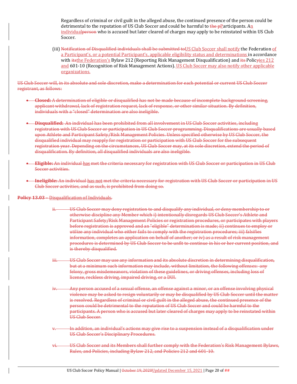Regardless of criminal or civil guilt in the alleged abuse, the continued presence of the person could be detrimental to the reputation of US Club Soccer and could be harmful to  $\frac{1}{2}P_1P_2$  articipants. An individual person who is accused but later cleared of charges may apply to be reinstated within US Club Soccer.

(iii) Notification of Disqualified individuals shall be submitted toUS Club Soccer shall notify the Federation of a Participant's, or a potential Participant's, applicable eligibility status and determinations in accordance with itsthe Federation's Bylaw 212 (Reporting Risk Management Disqualification) and its Policyies 212 and 601-10 (Recognition of Risk Management Actions). US Club Soccer may also notify other applicable organizations.

US Club Soccer will, in its absolute and sole discretion, make a determination for each potential or current US Club Soccer registrant, as follows:

- **Closed:** A determination of eligible or disqualified has not be made because of incomplete background screening, applicant withdrawal, lack of registration request, lack of response, or other similar situation. By definition, individuals with a "closed" determination are also ineligible.
- **Disqualified:** An individual has been prohibited from all involvement in US Club Soccer activities, including registration with US Club Soccer or participation in US Club Soccer programming. Disqualifications are usually based upon Athlete and Participant Safety/Risk Management Policies. Unless specified otherwise by US Club Soccer, the disqualified individual may reapply for registration or participation with US Club Soccer for the subsequent registration year. Depending on the circumstances, US Club Soccer may, at its sole discretion, extend the period of disqualification. By definition, all disqualified individuals are also ineligible*.*
- **Eligible:** An individual has met the criteria necessary for registration with US Club Soccer or participation in US Club Soccer activities.
- **Ineligible:** An individual has not met the criteria necessary for registration with US Club Soccer or participation in US Club Soccer activities, and as such, is prohibited from doing so.

#### **Policy 13.03** – Disqualification of Individuals.

- ii. US Club Soccer may deny registration to and disqualify any individual, or deny membership to or otherwise discipline any Member which i) intentionally disregards US Club Soccer's Athlete and Participant Safety/Risk Management Policies or registration procedures, or participates with players before registration is approved and an "eligible" determination is made; ii) continues to employ or utilize any individual who either fails to comply with the registration procedures; iii) falsifies information, completes an application on behalf of another; or iv) as a result of risk management procedures is determined by US Club Soccer to be unfit to continue in his or her current position, and is thereby disqualified.
- iii. US Club Soccer may use any information and its absolute discretion in determining disqualification, but at a minimum such information may include, without limitation, the following offenses: any felony, gross misdemeanors, violation of these guidelines, or driving offenses, including loss of license, reckless driving, impaired driving, or a DUI.
- Any person accused of a sexual offense, an offense against a minor, or an offense involving physical violence may be asked to resign voluntarily or may be disqualified by US Club Soccer until the matter is resolved. Regardless of criminal or civil guilt in the alleged abuse, the continued presence of the person could be detrimental to the reputation of US Club Soccer and could be harmful to the participants. A person who is accused but later cleared of charges may apply to be reinstated within US Club Soccer.
- In addition, an individual's actions may give rise to a suspension instead of a disqualification under US Club Soccer's Disciplinary Procedures.
- vi. US Club Soccer and its Members shall further comply with the Federation's Risk Management Bylaws, Rules, and Policies, including Bylaw 212, and Policies 212 and 601-10.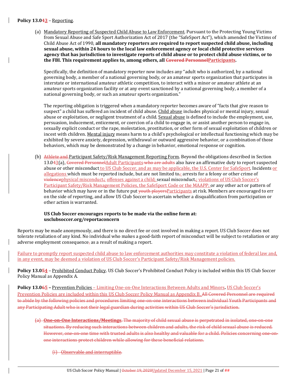#### **Policy 13.043** – Reporting.

(a) Mandatory Reporting of Suspected Child Abuse to Law Enforcement. Pursuant to the Protecting Young Victims from Sexual Abuse and Safe Sport Authorization Act of 2017 (the "SafeSport Act"), which amended the Victims of Child Abuse Act of 1990, **all mandatory reporters are required to report suspected child abuse, including sexual abuse, within 24 hours to the local law enforcement agency or local child protective services** agency that has jurisdiction to investigate reports of child abuse or to protect child abuse victims, or to **the FBI. This requirement applies to, among others, all Covered PersonnelParticipants.**

Specifically, the definition of mandatory reporter now includes any "adult who is authorized, by a national governing body, a member of a national governing body, or an amateur sports organization that participates in interstate or international amateur athletic competition, to interact with a minor or amateur athlete at an amateur sports organization facility or at any event sanctioned by a national governing body, a member of a national governing body, or such an amateur sports organization."

The reporting obligation is triggered when a mandatory reporter becomes aware of "facts that give reason to suspect" a child has suffered an incident of child abuse. Child abuse includes physical or mental injury, sexual abuse or exploitation, or negligent treatment of a child. Sexual abuse is defined to include the employment, use, persuasion, inducement, enticement, or coercion of a child to engage in, or assist another person to engage in, sexually explicit conduct or the rape, molestation, prostitution, or other form of sexual exploitation of children or incest with children. Mental injury means harm to a child's psychological or intellectual functioning which may be exhibited by severe anxiety, depression, withdrawal or outward aggressive behavior, or a combination of those behaviors, which may be demonstrated by a change in behavior, emotional response or cognition.

(b) Athlete and Participant Safety/Risk Management Reporting Form. Beyond the obligations described in Section 13.043(a), Covered PersonnelAdult Participants who are adults also have an affirmative duty to report suspected abuse or other misconduct to US Club Soccer, and as may be applicable, the U.S. Center for SafeSport. Incidents or allegations which must be reported include, but are not limited to<sub>r</sub>: arrests for a felony or other crime of violencephysical misconduct,; offenses against a child; sexual misconduct,; violations of US Club Soccer's Participant Safety/Risk Management Policies, the SafeSport Code or the MAAPP; or any other act or pattern of behavior which may have or in the future put vouth players Participants at risk. Members are encouraged to err on the side of reporting, and allow US Club Soccer to ascertain whether a disqualification from participation or other action is warranted.

# **US Club Soccer encourages reports to be made via the online form at: usclubsoccer.org/reportaconcern**

Reports may be made anonymously, and there is no direct fee or cost involved in making a report. US Club Soccer does not tolerate retaliation of any kind. No individual who makes a good-faith report of misconduct will be subject to retaliation or any adverse employment consequence, as a result of making a report.

Failure to promptly report suspected child abuse to law enforcement authorities may constitute a violation of federal law and, in any event, may be deemed a violation of US Club Soccer's Participant Safety/Risk Management policies.

**Policy 13.054** – Prohibited Conduct Policy. US Club Soccer's Prohibited Conduct Policy is included within this US Club Soccer Policy Manual as Appendix A.

**Policy 13.065 –** Prevention Policies – Limiting One-on-One Interactions Between Adults and Minors**.** US Club Soccer's Prevention Policies are included within this US Club Soccer Policy Manual as Appendix B. All Covered Personnel are required to abide by the following policies and procedures limiting one-on-one interactions between individual Youth Participants and any Participating Adult who is not their legal guardian during activities within US Club Soccer's jurisdiction.

- (a) **One‐on‐One Interactions/Meetings**. The majority of child sexual abuse is perpetrated in isolated, one-on-one situations. By reducing such interactions between children and adults, the risk of child sexual abuse is reduced. However, one-on-one time with trusted adults is also healthy and valuable for a child. Policies concerning one-onone interactions protect children while allowing for these beneficial relations.
	- (i) Observable and interruptible.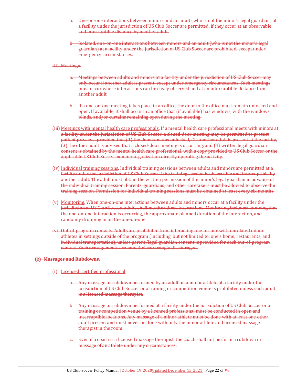- One-on-one interactions between minors and an adult (who is not the minor's legal guardian) at a facility under the jurisdiction of US Club Soccer are permitted, if they occur at an observable and interruptible distance by another adult.
- b. Isolated, one-on-one interactions between minors and an adult (who is not the minor's legal guardian) at a facility under the jurisdiction of US Club Soccer are prohibited, except under emergency circumstances.
- (ii) Meetings.
	- a. Meetings between adults and minors at a facility under the jurisdiction of US Club Soccer may only occur if another adult is present, except under emergency circumstances. Such meetings must occur where interactions can be easily observed and at an interruptible distance from another adult.
	- b. If a one-on-one meeting takes place in an office, the door to the office must remain unlocked and open. If available, it shall occur in an office that (if available) has windows, with the windows, blinds, and/or curtains remaining open during the meeting.
- (iii) Meetings with mental health care professionals. If a mental health care professional meets with minors at a facility under the jurisdiction of US Club Soccer, a closed-door meeting may be permitted to protect patient privacy – provided that (1) the door remains unlocked, (2) another adult is present at the facility, (3) the other adult is advised that a closed-door meeting is occurring, and (4) written legal guardian consent is obtained by the mental health care professional, with a copy provided to US Club Soccer or the applicable US Club Soccer member organization directly operating the activity.
- (iv) Individual training sessions. Individual training sessions between adults and minors are permitted at a facility under the jurisdiction of US Club Soccer if the training session is observable and interruptible by another adult. The adult must obtain the written permission of the minor's legal guardian in advance of the individual training session. Parents, guardians, and other caretakers must be allowed to observe the training session. Permission for individual training sessions must be obtained at least every six months.
- (v) Monitoring. When one-on-one interactions between adults and minors occur at a facility under the jurisdiction of US Club Soccer, adults shall monitor these interactions. Monitoring includes: knowing that the one-on-one interaction is occurring, the approximate planned duration of the interaction, and randomly dropping in on the one-on-one.
- (vi) Out-of-program contacts. Adults are prohibited from interacting one-on-one with unrelated minor athletes in settings outside of the program (including, but not limited to, one's home, restaurants, and individual transportation), unless parent/legal guardian consent is provided for each out-of-program contact. Such arrangements are nonetheless strongly discouraged.

## (b) **Massages and Rubdowns**.

- (i) Licensed, certified professional.
	- a. Any massage or rubdown performed by an adult on a minor athlete at a facility under the jurisdiction of US Club Soccer or a training or competition venue is prohibited unless such adult is a licensed massage therapist.
	- b. Any massage or rubdown performed at a facility under the jurisdiction of US Club Soccer or a training or competition venue by a licensed professional must be conducted in open and interruptible locations. Any massage of a minor athlete must be done with at least one other adult present and must never be done with only the minor athlete and licensed massage therapist in the room.
	- c. Even if a coach is a licensed massage therapist, the coach shall not perform a rubdown or massage of an athlete under any circumstances.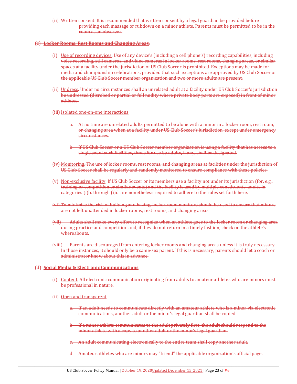(ii) Written consent. It is recommended that written consent by a legal guardian be provided before providing each massage or rubdown on a minor athlete. Parents must be permitted to be in the room as an observer.

#### (c) **Locker Rooms, Rest Rooms and Changing Areas**.

- (i) Use of recording devices. Use of any device's (including a cell phone's) recording capabilities, including voice recording, still cameras, and video cameras in locker rooms, rest rooms, changing areas, or similar spaces at a facility under the jurisdiction of US Club Soccer is prohibited. Exceptions may be made for media and championship celebrations, provided that such exceptions are approved by US Club Soccer or the applicable US Club Soccer member organization and two or more adults are present.
- (ii) Undress. Under no circumstances shall an unrelated adult at a facility under US Club Soccer's jurisdiction be undressed (disrobed or partial or full nudity where private body parts are exposed) in front of minor athletes.
- (iii) Isolated one-on-one interactions.
	- a. At no time are unrelated adults permitted to be alone with a minor in a locker room, rest room, or changing area when at a facility under US Club Soccer's jurisdiction, except under emergency circumstances.
	- b. If US Club Soccer or a US Club Soccer member organization is using a facility that has access to a single set of such facilities, times for use by adults, if any, shall be designated.
- (iv) Monitoring. The use of locker rooms, rest rooms, and changing areas at facilities under the jurisdiction of US Club Soccer shall be regularly and randomly monitored to ensure compliance with these policies.
- (v) Non-exclusive facility. If US Club Soccer or its members use a facility not under its jurisdiction (for, e.g., training or competition or similar events) and the facility is used by multiple constituents, adults in categories (i)b. through (i)d. are nonetheless required to adhere to the rules set forth here.
- (vi) To minimize the risk of bullying and hazing, locker room monitors should be used to ensure that minors are not left unattended in locker rooms, rest rooms, and changing areas.
- (vii) Adults shall make every effort to recognize when an athlete goes to the locker room or changing area during practice and competition and, if they do not return in a timely fashion, check on the athlete's whereabouts.
- (viii) Parents are discouraged from entering locker rooms and changing areas unless it is truly necessary. In those instances, it should only be a same-sex parent. If this is necessary, parents should let a coach or administrator know about this in advance.

#### (d) **Social Media & Electronic Communications**.

- (i) Content. All electronic communication originating from adults to amateur athletes who are minors must be professional in nature.
- (ii) Open and transparent.
	- a. If an adult needs to communicate directly with an amateur athlete who is a minor via electronic communications, another adult or the minor's legal guardian shall be copied.
	- b. If a minor athlete communicates to the adult privately first, the adult should respond to the minor athlete with a copy to another adult or the minor's legal guardian.
	- c. An adult communicating electronically to the entire team shall copy another adult.
	- d. Amateur athletes who are minors may "friend" the applicable organization's official page.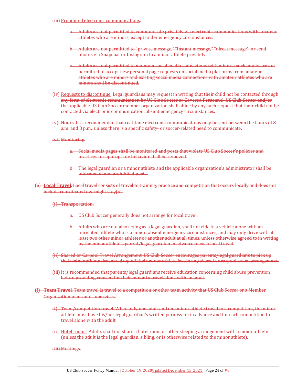- (iii) Prohibited electronic communications.
	- a. Adults are not permitted to communicate privately via electronic communications with amateur athletes who are minors, except under emergency circumstances.
	- b. Adults are not permitted to "private message," "instant message," "direct message", or send photos via Snapchat or Instagram to a minor athlete privately.
	- c. Adults are not permitted to maintain social media connections with minors; such adults are not permitted to accept new personal page requests on social media platforms from amateur athletes who are minors and existing social media connections with amateur athletes who are minors shall be discontinued.
- (iv) Requests to discontinue. Legal guardians may request in writing that their child not be contacted through any form of electronic communication by US Club Soccer or Covered Personnel. US Club Soccer and/or the applicable US Club Soccer member organization shall abide by any such request that their child not be contacted via electronic communication, absent emergency circumstances.
- (v) Hours. It is recommended that real-time electronic communications only be sent between the hours of 8 a.m. and 8 p.m., unless there is a specific safety- or soccer-related need to communicate.

#### (vi) Monitoring.

- a. Social media pages shall be monitored and posts that violate US Club Soccer's policies and practices for appropriate behavior shall be removed.
- b. The legal guardian or a minor athlete and the applicable organization's administrator shall be informed of any prohibited posts.
- (e) **Local Travel**. Local travel consists of travel to training, practice and competition that occurs locally and does not include coordinated overnight stay(s).

#### (i) Transportation.

- a. US Club Soccer generally does not arrange for local travel.
- b. Adults who are not also acting as a legal guardian, shall not ride in a vehicle alone with an unrelated athlete who is a minor, absent emergency circumstances, and may only drive with at least two other minor athletes or another adult at all times, unless otherwise agreed to in writing by the minor athlete's parent/legal guardian in advance of each local travel.
- (ii) Shared or Carpool Travel Arrangement. US Club Soccer encourages parents/legal guardians to pick up their minor athlete first and drop off their minor athlete last in any shared or carpool travel arrangement.
- (iii) It is recommended that parents/legal guardians receive education concerning child abuse prevention before providing consent for their minor to travel alone with an adult.
- (f) **Team Travel**. Team travel is travel to a competition or other team activity that US Club Soccer or a Member Organization plans and supervises.
	- (i) Team/competition travel. When only one adult and one minor athlete travel to a competition, the minor athlete must have his/her legal guardian's written permission in advance and for each competition to travel alone with the adult.
	- (ii) Hotel rooms. Adults shall not share a hotel room or other sleeping arrangement with a minor athlete (unless the adult is the legal guardian, sibling, or is otherwise related to the minor athlete).
	- (iii) Meetings.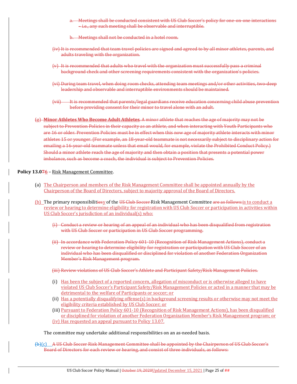a. Meetings shall be conducted consistent with US Club Soccer's policy for one-on-one interactions – i.e., any such meeting shall be observable and interruptible.

b. Meetings shall not be conducted in a hotel room.

- (iv) It is recommended that team travel policies are signed and agreed to by all minor athletes, parents, and adults traveling with the organization.
- (v) It is recommended that adults who travel with the organization must successfully pass a criminal background check and other screening requirements consistent with the organization's policies.
- (vi) During team travel, when doing room checks, attending team meetings and/or other activities, two-deep leadership and observable and interruptible environments should be maintained.
- (vii) It is recommended that parents/legal guardians receive education concerning child abuse prevention before providing consent for their minor to travel alone with an adult.

(g) **Minor Athletes Who Become Adult Athletes**. A minor athlete that reaches the age of majority may not be subject to Prevention Policies in their capacity as an athlete, and when interacting with Youth Participants who are 16 or older. Prevention Policies must be in effect when this now age of majority athlete interacts with minor athletes 15 or younger. (For example, an 18-year-old teammate is not necessarily subject to disciplinary action for emailing a 16-year-old teammate unless that email would, for example, violate the Prohibited Conduct Policy.) Should a minor athlete reach the age of majority and then obtain a position that presents a potential power imbalance, such as become a coach, the individual is subject to Prevention Policies.

## **Policy 13.076** – Risk Management Committee.

- (a) The Chairperson and members of the Risk Management Committee shall be appointed annually by the Chairperson of the Board of Directors, subject to majority approval of the Board of Directors.
- (b) The primary responsibilitiesy of the US Club Soccer-Risk Management Committee are as follows: is to conduct a review or hearing to determine eligibility for registration with US Club Soccer or participation in activities within US Club Soccer's jurisdiction of an individual(s) who:
	- (i) Conduct a review or hearing of an appeal of an individual who has been disqualified from registration with US Club Soccer or participation in US Club Soccer programming.
	- (ii) In accordance with Federation Policy 601-10 (Recognition of Risk Management Actions), conduct a review or hearing to determine eligibility for registration or participation with US Club Soccer of an individual who has been disqualified or disciplined for violation of another Federation Organization Member's Risk Management program.
	- (iii) Review violations of US Club Soccer's Athlete and Participant Safety/Risk Management Policies.
	- (i) Has been the subject of a reported concern, allegation of misconduct or is otherwise alleged to have violated US Club Soccer's Participant Safety/Risk Management Policies or acted in a manner that may be detrimental to the welfare of Participants or soccer; or
	- (ii) Has a potentially disqualifying offense(s) in background screening results or otherwise may not meet the eligibility criteria established by US Club Soccer; or
	- (iii) Pursuant to Federation Policy 601-10 (Recognition of Risk Management Actions), has been disqualified or disciplined for violation of another Federation Organization Member's Risk Management program; or (iv) Has requested an appeal pursuant to Policy 13.07.

The committee may undertake additional responsibilities on an as-needed basis.

(b)(c) A US Club Soccer Risk Management Committee shall be appointed by the Chairperson of US Club Soccer's Board of Directors for each review or hearing, and consist of three individuals, as follows: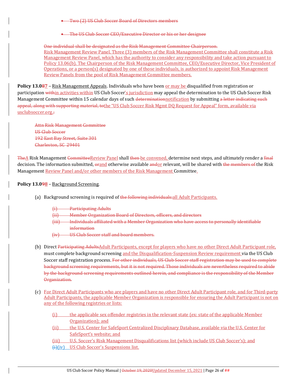Two (2) US Club Soccer Board of Directors members

**•** The US Club Soccer CEO/Executive Director or his or her designee

One individual shall be designated as the Risk Management Committee Chairperson. Risk Management Review Panel. Three (3) members of the Risk Management Committee shall constitute a Risk Management Review Panel, which has the authority to consider any responsibility and take action pursuant to Policy 13.06(b). The Chairperson of the Risk Management Committee, CEO/Executive Director, Vice President of Operations, or a person(s) designated by one of those individuals, is authorized to appoint Risk Management Review Panels from the pool of Risk Management Committee members.

**Policy 13.087** – Risk Management Appeals. Individuals who have been or may be disqualified from registration or participation within activities within US Club Soccer's jurisdiction may appeal the determination to the US Club Soccer Risk Management Committee within 15 calendar days of such determination to ification by submitting a letter indicating such appeal, along with supporting material, tothe "US Club Soccer Risk Mgmt DQ Request for Appeal" form, available via usclubsoccer.org.:

Attn Risk Management Committee US Club Soccer 192 East Bay Street, Suite 301 Charleston, SC 29401

TheA Risk Management CommitteeReview Panel shall then be convened, determine next steps, and ultimately render a final decision. The information submitted, orand otherwise available andor relevant, will be shared with the members of the Risk Management Review Panel and/or other members of the Risk Management Committee.

# **Policy 13.098** – Background Screening.

- (a) Background screening is required of the following individuals: all Adult Participants.
	- (i) Participating Adults
	- (ii) Member Organization Board of Directors, officers, and directors
	- (iii) Individuals affiliated with a Member Organization who have access to personally identifiable information
	- (iv) US Club Soccer staff and board members.
- (b) Direct Participating AdultsAdult Participants, except for players who have no other Direct Adult Participant role, must complete background screening and the Disqualification-Suspension Review requirement via the US Club Soccer staff registration process. For other individuals, US Club Soccer staff registration may be used to complete background screening requirements, but it is not required. Those individuals are nevertheless required to abide by the background screening requirements outlined herein, and compliance is the responsibility of the Member Organization.
- (c) For Direct Adult Participants who are players and have no other Direct Adult Participant role, and for Third-party Adult Participants, the applicable Member Organization is responsible for ensuring the Adult Participant is not on any of the following registries or lists:
	- (i) the applicable sex offender registries in the relevant state (ex: state of the applicable Member Organization); and
	- (ii) the U.S. Center for SafeSport Centralized Disciplinary Database, available via the U.S. Center for SafeSport's website; and

(iii) U.S. Soccer's Risk Management Disqualifications list (which include US Club Soccer's); and (i)(iv) US Club Soccer's Suspensions list.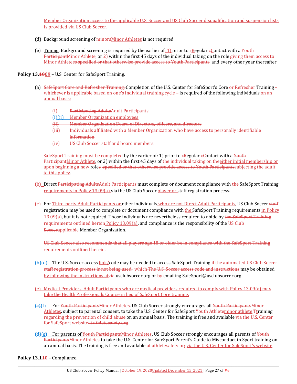Member Organization access to the applicable U.S. Soccer and US Club Soccer disqualification and suspension lists is provided via US Club Soccer.

- (d) Background screening of minorsMinor Athletes is not required.
- (e) Timing. Background screening is required by the earlier of: 1) prior to  $FRegular \epsilon<sub>l</sub> contact with a *Youth*$ ParticipantMinor Athlete, or 2) within the first 45 days of the individual taking on the role giving them access to Minor Athletess specified or that otherwise provide access to Youth Participants, and every other year thereafter.

# **Policy 13.1009** – U.S. Center for SafeSport Training.

- (a) SafeSport Core and Refresher Training. Completion of the U.S. Center for SafeSport's Core or Refresher Training  $\pm$ whichever is applicable based on one's individual training cycle – is required of the following individuals on an annual basis:
	- (i) Participating AdultsAdult Participants

(i)(ii) Member Organization employees

- (ii) Member Organization Board of Directors, officers, and directors
- (iii) Individuals affiliated with a Member Organization who have access to personally identifiable information
- (iv) US Club Soccer staff and board members.

SafeSport Training must be completed by the earlier of: 1) prior to  $\frac{F}{R}$ egular  $\frac{F}{R}$ contact with a Youth ParticipantMinor Athlete, or 2) within the first 45 days of the individual taking on theeither initial membership or upon beginning a new roles\_specified or that otherwise provide access to Youth Participantssubjecting the adult to this policy.

- (b) Direct Participating AdultsAdult Participants must complete or document compliance with the SafeSport Training requirements in Policy 13.09(a) via the US Club Soccer player or staff registration process.
- (c) For Third-party Adult Participants or other individuals who are not Direct Adult Participants, US Club Soccer staff registration may be used to complete or document compliance with the SafeSport Training requirements in Policy 13.09(a), but it is not required. Those individuals are nevertheless required to abide by the SafeSport Training requirements outlined herein Policy 13.09(a), and compliance is the responsibility of the US Club Soccerapplicable Member Organization.

US Club Soccer also recommends that all players age 18 or older be in compliance with the SafeSport Training requirements outlined herein.

- (b)(d) The U.S. Soccer access link/code may be needed to access SafeSport Training if the automated US Club Soccer staff registration process is not being used., which The U.S. Soccer access code and instructions may be obtained by following the instructions atvia usclubsoccer.org or by emailing SafeSport@usclubsoccer.org.
- (e) Medical Providers. Adult Participants who are medical providers required to comply with Policy 13.09(a) may take the Health Professionals Course in lieu of SafeSport Core training.
- (c)(f) For Youth ParticipantsMinor Athletes. US Club Soccer strongly encourages all Youth ParticipantsMinor Athletes, subject to parental consent, to take the U.S. Center for SafeSport Youth Athleteminor athlete Ttraining regarding the prevention of child abuse on an annual basis. The training is free and available via the U.S. Center for SafeSport websiteat athletesafety.org.
- (d)(g) For parents of Youth ParticipantsMinor Athletes. US Club Soccer strongly encourages all parents of Youth ParticipantsMinor Athletes to take the U.S. Center for SafeSport Parent's Guide to Misconduct in Sport training on an annual basis. The training is free and available at athletesafety.orgyia the U.S. Center for SafeSport's website.

**Policy 13.110** – Compliance**.**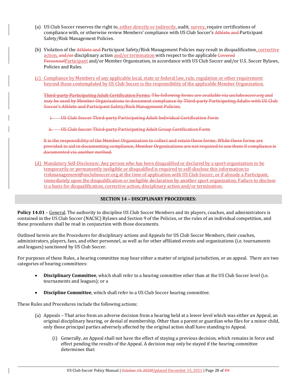- (a) US Club Soccer reserves the right to, either directly or indirectly, audit, survey, require certifications of compliance with, or otherwise review Members' compliance with US Club Soccer's Athlete and Participant Safety/Risk Management Policies.
- (b) Violation of the Athlete and Participant Safety/Risk Management Policies may result in disqualification, corrective action, and/or-disciplinary action and/or termination with respect to the applicable Covered PersonnelParticipant and/or Member Organization, in accordance with US Club Soccer and/or U.S. Soccer Bylaws, Policies and Rules.
- (c) Compliance by Members of any applicable local, state or federal law, rule, regulation or other requirement beyond those contemplated by US Club Soccer is the responsibility of the applicable Member Organization.

Third-party Participating Adult Certification Forms. The following forms are available via usclubsoccer.org and may be used by Member Organizations to document compliance by Third-party Participating Adults with US Club Soccer's Athlete and Participant Safety/Risk Management Policies.

**US Club Soccer Third-party Participating Adult Individual Certification Form** 

**US Club Soccer Third-party Participating Adult Group Certification Form** 

It is the responsibility of the Member Organization to collect and retain these forms. While these forms are provided to aid in documenting compliance, Member Organizations are not required to use them if compliance is documented via another method.

(d) Mandatory Self-Disclosure. Any person who has been disqualified or declared by a sport organization to be temporarily or permanently ineligible or disqualified is required to self-disclose this information to riskmanagement@usclubsoccer.org at the time of application with US Club Soccer, or if already a Participant, immediately upon the disqualification or ineligible declaration by another sport organization. Failure to disclose is a basis for disqualification, corrective action, disciplinary action and/or termination.

## **SECTION 14 – DISCIPLINARY PROCEDURES:**

**Policy 14.01** – General. The authority to discipline US Club Soccer Members and its players, coaches, and administrators is contained in the US Club Soccer (NACSC) Bylaws and Section 9 of the Policies, or the rules of an individual competition, and these procedures shall be read in conjunction with those documents.

Outlined herein are the Procedures for disciplinary actions and Appeals for US Club Soccer Members, their coaches, administrators, players, fans, and other personnel, as well as for other affiliated events and organizations (i.e. tournaments and leagues) sanctioned by US Club Soccer.

For purposes of these Rules, a hearing committee may hear either a matter of original jurisdiction, or an appeal. There are two categories of hearing committees:

- **Disciplinary Committee**, which shall refer to a hearing committee other than at the US Club Soccer level (i.e. tournaments and leagues); or a
- **Discipline Committee**, which shall refer to a US Club Soccer hearing committee.

These Rules and Procedures include the following actions:

- (a) Appeals That arise from an adverse decision from a hearing held at a lower level which was either an Appeal, an original disciplinary hearing, or denial of membership. Other than a parent or guardian who files for a minor child, only those principal parties adversely affected by the original action shall have standing to Appeal.
	- (i) Generally, an Appeal shall not have the effect of staying a previous decision, which remains in force and effect pending the results of the Appeal. A decision may only be stayed if the hearing committee determines that: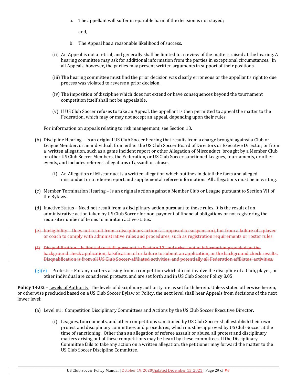a. The appellant will suffer irreparable harm if the decision is not stayed;

and,

- b. The Appeal has a reasonable likelihood of success.
- (ii) An Appeal is not a retrial, and generally shall be limited to a review of the matters raised at the hearing. A hearing committee may ask for additional information from the parties in exceptional circumstances. In all Appeals, however, the parties may present written arguments in support of their positions.
- (iii) The hearing committee must find the prior decision was clearly erroneous or the appellant's right to due process was violated to reverse a prior decision.
- (iv) The imposition of discipline which does not extend or have consequences beyond the tournament competition itself shall not be appealable.
- (v) If US Club Soccer refuses to take an Appeal, the appellant is then permitted to appeal the matter to the Federation, which may or may not accept an appeal, depending upon their rules.

For information on appeals relating to risk management, see Section 13.

- (b) Discipline Hearing Is an original US Club Soccer hearing that results from a charge brought against a Club or League Member, or an individual, from either the US Club Soccer Board of Directors or Executive Director; or from a written allegation, such as a game incident report or other Allegation of Misconduct, brought by a Member Club or other US Club Soccer Members, the Federation, or US Club Soccer sanctioned Leagues, tournaments, or other events, and includes referees' allegations of assault or abuse.
	- (i) An Allegation of Misconduct is a written allegation which outlines in detail the facts and alleged misconduct or a referee report and supplemental referee information. All allegations must be in writing.
- (c) Member Termination Hearing Is an original action against a Member Club or League pursuant to Section VII of the Bylaws.
- (d) Inactive Status Need not result from a disciplinary action pursuant to these rules. It is the result of an administrative action taken by US Club Soccer for non-payment of financial obligations or not registering the requisite number of teams to maintain active status.
- (e) Ineligibility Does not result from a disciplinary action (as opposed to suspension), but from a failure of a player or coach to comply with administrative rules and procedures, such as registration requirements or roster rules.
- (f) Disqualification Is limited to staff, pursuant to Section 13, and arises out of information provided on the background check application, falsification of or failure to submit an application, or the background check results. Disqualification is from all US Club Soccer-affiliated activities, and potentially all Federation affiliates' activities.
- (g)(e) Protests *–* For any matters arising from a competition which do not involve the discipline of a Club, player, or other individual are considered protests, and are set forth and in US Club Soccer Policy 8.05.

**Policy 14.02** – Levels of Authority. The levels of disciplinary authority are as set forth herein. Unless stated otherwise herein, or otherwise precluded based on a US Club Soccer Bylaw or Policy, the next level shall hear Appeals from decisions of the next lower level:

- (a) Level #1: Competition Disciplinary Committees and Actions by the US Club Soccer Executive Director.
	- (i) Leagues, tournaments, and other competitions sanctioned by US Club Soccer shall establish their own protest and disciplinary committees and procedures, which must be approved by US Club Soccer at the time of sanctioning. Other than an allegation of referee assault or abuse, all protest and disciplinary matters arising out of these competitions may be heard by these committees. If the Disciplinary Committee fails to take any action on a written allegation, the petitioner may forward the matter to the US Club Soccer Discipline Committee.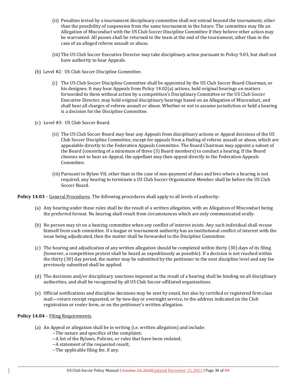- (ii) Penalties levied by a tournament disciplinary committee shall not extend beyond the tournament, other than the possibility of suspension from the same tournament in the future. The committee may file an Allegation of Misconduct with the US Club Soccer Discipline Committee if they believe other action may be warranted. All passes shall be returned to the team at the end of the tournament, other than in the case of an alleged referee assault or abuse.
- (iii) The US Club Soccer Executive Director may take disciplinary action pursuant to Policy 9.03, but shall not have authority to hear Appeals.
- (b) Level #2: US Club Soccer Discipline Committee.
	- (i) The US Club Soccer Discipline Committee shall be appointed by the US Club Soccer Board Chairman, or his designee. It may hear Appeals from Policy 14.02(a) actions, hold original hearings on matters forwarded to them without action by a competition's Disciplinary Committee or the US Club Soccer Executive Director, may hold original disciplinary hearings based on an Allegation of Misconduct, and shall hear all charges of referee assault or abuse. Whether or not to assume jurisdiction or hold a hearing is a decision for the Discipline Committee.
- (c) Level #3: US Club Soccer Board.
	- (ii) The US Club Soccer Board may hear any Appeals from disciplinary actions or Appeal decisions of the US Club Soccer Discipline Committee, except for appeals from a finding of referee assault or abuse, which are appealable directly to the Federation Appeals Committee. The Board Chairman may appoint a subset of the Board (consisting of a minimum of three (3) Board members) to conduct a hearing. If the Board chooses not to hear an Appeal, the appellant may then appeal directly to the Federation Appeals Committee.
	- (iii) Pursuant to Bylaw VII, other than in the case of non-payment of dues and fees where a hearing is not required, any hearing to terminate a US Club Soccer Organization Member shall be before the US Club Soccer Board.

**Policy 14.03** – General Procedures. The following procedures shall apply to all levels of authority:

- (a) Any hearing under these rules shall be the result of a written allegation, with an Allegation of Misconduct being the preferred format. No hearing shall result from circumstances which are only communicated orally.
- (b) No person may sit on a hearing committee when any conflict of interest exists. Any such individual shall recuse himself from such committee. If a league or tournament authority has an institutional conflict of interest with the issue being adjudicated, then the matter shall be forwarded to the Discipline Committee.
- (c) The hearing and adjudication of any written allegation should be completed within thirty (30) days of its filing (however, a competition protest shall be heard as expeditiously as possible). If a decision is not reached within the thirty (30) day period, the matter may be submitted by the petitioner to the next discipline level and any fee previously submitted shall be applied.
- (d) The decisions and/or disciplinary sanctions imposed as the result of a hearing shall be binding on all disciplinary authorities, and shall be recognized by all US Club Soccer-affiliated organizations.
- (e) Official notifications and discipline decisions may be sent by email, but also by certified or registered first-class mail—return receipt requested, or by two-day or overnight service, to the address indicated on the Club registration or roster form, or on the petitioner's written allegation.

## **Policy 14.04** – Filing Requirements.

- (a) An Appeal or allegation shall be in writing (i.e. written allegation) and include:
	- --The nature and specifics of the complaint;
	- --A list of the Bylaws, Policies, or rules that have been violated;
	- --A statement of the requested result;
	- --The applicable filing fee, if any.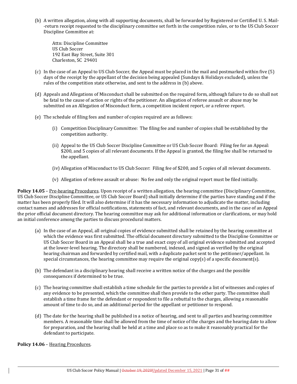(b) A written allegation, along with all supporting documents, shall be forwarded by Registered or Certified U. S. Mail- -return receipt requested to the disciplinary committee set forth in the competition rules, or to the US Club Soccer Discipline Committee at:

Attn: Discipline Committee US Club Soccer 192 East Bay Street, Suite 301 Charleston, SC 29401

- (c) In the case of an Appeal to US Club Soccer, the Appeal must be placed in the mail and postmarked within five (5) days of the receipt by the appellant of the decision being appealed (Sundays & Holidays excluded), unless the rules of the competition state otherwise, and sent to the address in (b) above.
- (d) Appeals and Allegations of Misconduct shall be submitted on the required form, although failure to do so shall not be fatal to the cause of action or rights of the petitioner. An allegation of referee assault or abuse may be submitted on an Allegation of Misconduct form, a competition incident report, or a referee report.
- (e) The schedule of filing fees and number of copies required are as follows:
	- (i) Competition Disciplinary Committee: The filing fee and number of copies shall be established by the competition authority.
	- (ii) Appeal to the US Club Soccer Discipline Committee or US Club Soccer Board: Filing fee for an Appeal: \$200, and 5 copies of all relevant documents. If the Appeal is granted, the filing fee shall be returned to the appellant.
	- (iv) Allegation of Misconduct to US Club Soccer: Filing fee of \$200, and 5 copies of all relevant documents.
	- (v) Allegation of referee assault or abuse: No fee and only the original report must be filed initially.

**Policy 14.05** – Pre-hearing Procedures. Upon receipt of a written allegation, the hearing committee (Disciplinary Committee, US Club Soccer Discipline Committee, or US Club Soccer Board) shall initially determine if the parties have standing and if the matter has been properly filed. It will also determine if it has the necessary information to adjudicate the matter, including contact names and addresses for official notifications, statements of fact, and relevant documents, and in the case of an Appeal the prior official document directory. The hearing committee may ask for additional information or clarifications, or may hold an initial conference among the parties to discuss procedural matters.

- (a) In the case of an Appeal, all original copies of evidence submitted shall be retained by the hearing committee at which the evidence was first submitted. The official document directory submitted to the Discipline Committee or US Club Soccer Board in an Appeal shall be a true and exact copy of all original evidence submitted and accepted at the lower-level hearing. The directory shall be numbered, indexed, and signed as verified by the original hearing chairman and forwarded by certified mail, with a duplicate packet sent to the petitioner/appellant. In special circumstances, the hearing committee may require the original copy(s) of a specific document(s).
- (b) The defendant in a disciplinary hearing shall receive a written notice of the charges and the possible consequences if determined to be true.
- (c) The hearing committee shall establish a time schedule for the parties to provide a list of witnesses and copies of any evidence to be presented, which the committee shall then provide to the other party. The committee shall establish a time frame for the defendant or respondent to file a rebuttal to the charges, allowing a reasonable amount of time to do so, and an additional period for the appellant or petitioner to respond.
- (d) The date for the hearing shall be published in a notice of hearing, and sent to all parties and hearing committee members. A reasonable time shall be allowed from the time of notice of the charges and the hearing date to allow for preparation, and the hearing shall be held at a time and place so as to make it reasonably practical for the defendant to participate.

**Policy 14.06** – Hearing Procedures.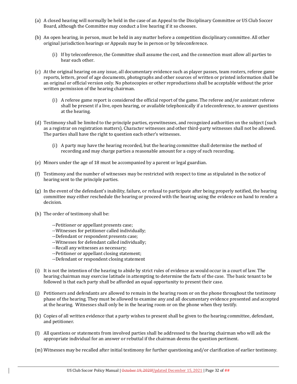- (a) A closed hearing will normally be held in the case of an Appeal to the Disciplinary Committee or US Club Soccer Board, although the Committee may conduct a live hearing if it so chooses.
- (b) An open hearing, in person, must be held in any matter before a competition disciplinary committee. All other original jurisdiction hearings or Appeals may be in person or by teleconference.
	- (i) If by teleconference, the Committee shall assume the cost, and the connection must allow all parties to hear each other.
- (c) At the original hearing on any issue, all documentary evidence such as player passes, team rosters, referee game reports, letters, proof of age documents, photographs and other sources of written or printed information shall be an original or official version only. No photocopies or other reproductions shall be acceptable without the prior written permission of the hearing chairman.
	- (i) A referee game report is considered the official report of the game. The referee and/or assistant referee shall be present if a live, open hearing, or available telephonically if a teleconference, to answer questions at the hearing.
- (d) Testimony shall be limited to the principle parties, eyewitnesses, and recognized authorities on the subject (such as a registrar on registration matters). Character witnesses and other third-party witnesses shall not be allowed. The parties shall have the right to question each other's witnesses.
	- (i) A party may have the hearing recorded, but the hearing committee shall determine the method of recording and may charge parties a reasonable amount for a copy of such recording.
- (e) Minors under the age of 18 must be accompanied by a parent or legal guardian.
- (f) Testimony and the number of witnesses may be restricted with respect to time as stipulated in the notice of hearing sent to the principle parties.
- (g) In the event of the defendant's inability, failure, or refusal to participate after being properly notified, the hearing committee may either reschedule the hearing or proceed with the hearing using the evidence on hand to render a decision.
- (h) The order of testimony shall be:
	- --Petitioner or appellant presents case;
	- --Witnesses for petitioner called individually;
	- --Defendant or respondent presents case;
	- --Witnesses for defendant called individually;
	- --Recall any witnesses as necessary;
	- --Petitioner or appellant closing statement;
	- --Defendant or respondent closing statement
- (i) It is not the intention of the hearing to abide by strict rules of evidence as would occur in a court of law. The hearing chairman may exercise latitude in attempting to determine the facts of the case. The basic tenant to be followed is that each party shall be afforded an equal opportunity to present their case.
- (j) Petitioners and defendants are allowed to remain in the hearing room or on the phone throughout the testimony phase of the hearing. They must be allowed to examine any and all documentary evidence presented and accepted at the hearing. Witnesses shall only be in the hearing room or on the phone when they testify.
- (k) Copies of all written evidence that a party wishes to present shall be given to the hearing committee, defendant, and petitioner.
- (l) All questions or statements from involved parties shall be addressed to the hearing chairman who will ask the appropriate individual for an answer or rebuttal if the chairman deems the question pertinent.
- (m) Witnesses may be recalled after initial testimony for further questioning and/or clarification of earlier testimony.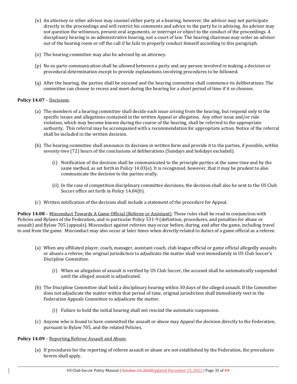- (n) An attorney or other advisor may counsel either party at a hearing; however, the advisor may not participate directly in the proceedings and will restrict his comments and advice to the party he is advising. An advisor may not question the witnesses, present oral arguments, or interrupt or object to the conduct of the proceedings. A disciplinary hearing is an administrative hearing, not a court of law. The hearing chairman may order an advisor out of the hearing room or off the call if he fails to properly conduct himself according to this paragraph.
- (o) The hearing committee may also be advised by an attorney.
- (p) No ex parte communication shall be allowed between a party and any person involved in making a decision or procedural determination except to provide explanations involving procedures to be followed.
- (q) After the hearing, the parties shall be excused and the hearing committee shall commence its deliberations. The committee can choose to recess and meet during the hearing for a short period of time if it so chooses.

# **Policy 14.07** – Decisions.

- (a) The members of a hearing committee shall decide each issue arising from the hearing, but respond only to the specific issues and allegations contained in the written Appeal or allegation. Any other issue and/or rule violation, which may become known during the course of the hearing, shall be referred to the appropriate authority. This referral may be accompanied with a recommendation for appropriate action. Notice of the referral shall be included in the written decision.
- (b) The hearing committee shall announce its decision in written form and provide it to the parties, if possible, within seventy-two (72) hours of the conclusions of deliberations (Sundays and holidays excluded).
	- (i) Notification of the decision shall be communicated to the principle parties at the same time and by the same method, as set forth in Policy 14.03(e). It is recognized, however, that it may be prudent to also communicate the decision to the parties orally.
	- (ii) In the case of competition disciplinary committee decisions, the decision shall also be sent to the US Club Soccer office set forth in Policy 14.04(b).
- (c) Written notification of the decision shall include a statement of the procedure for Appeal.

**Policy 14.08** – Misconduct Towards A Game Official (Referee or Assistant). These rules shall be read in conjunction with Policies and Bylaws of the Federation, and in particular Policy 531-9 (definition, procedures, and penalties for abuse or assault) and Bylaw 705 (appeals). Misconduct against referees may occur before, during, and after the game, including travel to and from the game. Misconduct may also occur at later times when directly related to duties of a game official as a referee.

- (a) When any affiliated player, coach, manager, assistant coach, club league official or game official allegedly assaults or abuses a referee, the original jurisdiction to adjudicate the matter shall vest immediately in US Club Soccer's Discipline Committee.
	- (i) When an allegation of assault is verified by US Club Soccer, the accused shall be automatically suspended until the alleged assault is adjudicated.
- (b) The Discipline Committee shall hold a disciplinary hearing within 30 days of the alleged assault. If the Committee does not adjudicate the matter within that period of time, original jurisdiction shall immediately vest in the Federation Appeals Committee to adjudicate the matter.
	- (i) Failure to hold the initial hearing shall not rescind the automatic suspension.
- (c) Anyone who is found to have committed the assault or abuse may Appeal the decision directly to the Federation, pursuant to Bylaw 705, and the related Policies.

## **Policy 14.09** – Reporting Referee Assault and Abuse.

(a) If procedures for the reporting of referee assault or abuse are not established by the Federation, the procedures herein shall apply.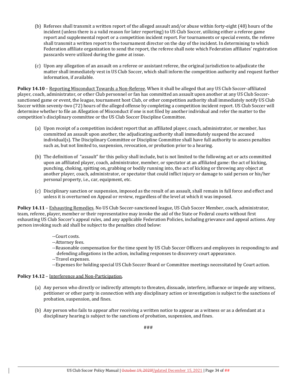- (b) Referees shall transmit a written report of the alleged assault and/or abuse within forty-eight (48) hours of the incident (unless there is a valid reason for later reporting) to US Club Soccer, utilizing either a referee game report and supplemental report or a competition incident report. For tournaments or special events, the referee shall transmit a written report to the tournament director on the day of the incident. In determining to which Federation affiliate organization to send the report, the referee shall note which Federation affiliates' registration passcards were utilized during the game at issue.
- (c) Upon any allegation of an assault on a referee or assistant referee, the original jurisdiction to adjudicate the matter shall immediately vest in US Club Soccer, which shall inform the competition authority and request further information, if available.

**Policy 14.10** – Reporting Misconduct Towards a Non-Referee. When it shall be alleged that any US Club Soccer-affiliated player, coach, administrator, or other Club personnel or fan has committed an assault upon another at any US Club Soccersanctioned game or event, the league, tournament host Club, or other competition authority shall immediately notify US Club Soccer within seventy-two (72) hours of the alleged offense by completing a competition incident report. US Club Soccer will determine whether to file an Allegation of Misconduct if one is not filed by another individual and refer the matter to the competition's disciplinary committee or the US Club Soccer Discipline Committee.

- (a) Upon receipt of a competition incident report that an affiliated player, coach, administrator, or member, has committed an assault upon another, the adjudicating authority shall immediately suspend the accused individual(s). The Disciplinary Committee or Discipline Committee shall have full authority to assess penalties such as, but not limited to, suspension, revocation, or probation prior to a hearing.
- (b) The definition of "assault" for this policy shall include, but is not limited to the following act or acts committed upon an affiliated player, coach, administrator, member, or spectator at an affiliated game: the act of kicking, punching, choking, spitting on, grabbing or bodily running into, the act of kicking or throwing any object at another player, coach, administrator, or spectator that could inflict injury or damage to said person or his/her personal property, i.e., car, equipment, etc.
- (c) Disciplinary sanction or suspension, imposed as the result of an assault, shall remain in full force and effect and unless it is overturned on Appeal or review, regardless of the level at which it was imposed.

**Policy 14.11** – Exhausting Remedies. No US Club Soccer-sanctioned league, US Club Soccer Member, coach, administrator, team, referee, player, member or their representative may invoke the aid of the State or Federal courts without first exhausting US Club Soccer's appeal rules, and any applicable Federation Policies, including grievance and appeal actions. Any person invoking such aid shall be subject to the penalties cited below:

- --Court costs.
- --Attorney fees.
- --Reasonable compensation for the time spent by US Club Soccer Officers and employees in responding to and defending allegations in the action, including responses to discovery court appearance.
- --Travel expenses.
- --Expenses for holding special US Club Soccer Board or Committee meetings necessitated by Court action.

# **Policy 14.12** – Interference and Non-Participation.

- (a) Any person who directly or indirectly attempts to threaten, dissuade, interfere, influence or impede any witness, petitioner or other party in connection with any disciplinary action or investigation is subject to the sanctions of probation, suspension, and fines.
- (b) Any person who fails to appear after receiving a written notice to appear as a witness or as a defendant at a disciplinary hearing is subject to the sanctions of probation, suspension, and fines.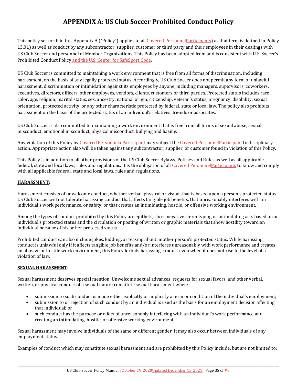# **APPENDIX A: US Club Soccer Prohibited Conduct Policy**

This policy set forth in this Appendix A ("Policy") applies to all Covered PersonnelParticipants (as that term is defined in Policy 13.01) as well as conduct by any subcontractor, supplier, customer or third party and their employees in their dealings with US Club Soccer and personnel of Member Organizations. This Policy has been adopted from and is consistent with U.S. Soccer's Prohibited Conduct Policy and the U.S. Center for SafeSport Code.

US Club Soccer is committed to maintaining a work environment that is free from all forms of discrimination, including harassment, on the basis of any legally protected status. Accordingly, US Club Soccer does not permit any form of unlawful harassment, discrimination or intimidation against its employees by anyone, including managers, supervisors, coworkers, executives, directors, officers, other employees, vendors, clients, customers or third parties. Protected status includes race, color, age, religion, marital status, sex, ancestry, national origin, citizenship, veteran's status, pregnancy, disability, sexual orientation, protected activity, or any other characteristic protected by federal, state or local law. The policy also prohibits harassment on the basis of the protected status of an individual's relatives, friends or associates.

US Club Soccer is also committed to maintaining a work environment that is free from all forms of sexual abuse, sexual misconduct, emotional misconduct, physical misconduct, bullying and hazing.

Any violation of this Policy by Covered Personnela Participant may subject the Covered Personnel Participant to disciplinary action. Appropriate action also will be taken against any subcontractor, supplier, or customer found in violation of this Policy.

This Policy is in addition to all other provisions of the US Club Soccer Bylaws, Policies and Rules as well as all applicable federal, state and local laws, rules and regulations. It is the obligation of all Covered Personnel Participants to know and comply with all applicable federal, state and local laws, rules and regulations.

# **HARASSMENT:**

Harassment consists of unwelcome conduct, whether verbal, physical or visual, that is based upon a person's protected status. US Club Soccer will not tolerate harassing conduct that affects tangible job benefits, that unreasonably interferes with an individual's work performance, or safety, or that creates an intimidating, hostile, or offensive working environment.

Among the types of conduct prohibited by this Policy are epithets, slurs, negative stereotyping or intimidating acts based on an individual's protected status and the circulation or posting of written or graphic materials that show hostility toward an individual because of his or her protected status.

Prohibited conduct can also include jokes, kidding, or teasing about another person's protected status. While harassing conduct is unlawful only if it affects tangible job benefits and/or interferes unreasonably with work performance and creates an abusive or hostile work environment, this Policy forbids harassing conduct even when it does not rise to the level of a violation of law.

# **SEXUAL HARASSMENT:**

Sexual harassment deserves special mention. Unwelcome sexual advances, requests for sexual favors, and other verbal, written, or physical conduct of a sexual nature constitute sexual harassment when:

- submission to such conduct is made either explicitly or implicitly a term or condition of the individual's employment;
- submission to or rejection of such conduct by an individual is used as the basis for an employment decision affecting that individual; or
- such conduct has the purpose or effect of unreasonably interfering with an individual's work performance and creating an intimidating, hostile, or offensive working environment.

Sexual harassment may involve individuals of the same or different gender. It may also occur between individuals of any employment status.

Examples of conduct which may constitute sexual harassment and are prohibited by this Policy include, but are not limited to: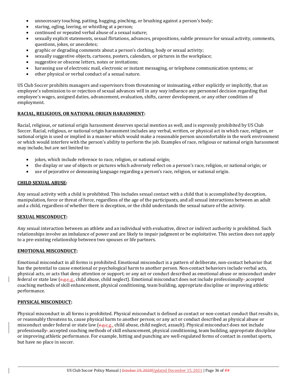- unnecessary touching, patting, hugging, pinching, or brushing against a person's body;
- staring, ogling, leering, or whistling at a person;
- continued or repeated verbal abuse of a sexual nature;
- sexually explicit statements, sexual flirtations, advances, propositions, subtle pressure for sexual activity, comments, questions, jokes, or anecdotes;
- graphic or degrading comments about a person's clothing, body or sexual activity;
- sexually suggestive objects, cartoons, posters, calendars, or pictures in the workplace;
- suggestive or obscene letters, notes or invitations;
- harassing use of electronic mail, electronic or instant messaging, or telephone communication systems; or
- other physical or verbal conduct of a sexual nature.

US Club Soccer prohibits managers and supervisors from threatening or insinuating, either explicitly or implicitly, that an employee's submission to or rejection of sexual advances will in any way influence any personnel decision regarding that employee's wages, assigned duties, advancement, evaluation, shifts, career development, or any other condition of employment.

# **RACIAL, RELIGIOUS, OR NATIONAL ORIGIN HARASSMENT:**

Racial, religious, or national origin harassment deserves special mention as well, and is expressly prohibited by US Club Soccer. Racial, religious, or national origin harassment includes any verbal, written, or physical act in which race, religion, or national origin is used or implied in a manner which would make a reasonable person uncomfortable in the work environment or which would interfere with the person's ability to perform the job. Examples of race, religious or national origin harassment may include, but are not limited to:

- jokes, which include reference to race, religion, or national origin;
- the display or use of objects or pictures which adversely reflect on a person's race, religion, or national origin; or
- use of pejorative or demeaning language regarding a person's race, religion, or national origin.

## **CHILD SEXUAL ABUSE:**

Any sexual activity with a child is prohibited. This includes sexual contact with a child that is accomplished by deception, manipulation, force or threat of force, regardless of the age of the participants, and all sexual interactions between an adult and a child, regardless of whether there is deception, or the child understands the sexual nature of the activity.

## **SEXUAL MISCONDUCT:**

Any sexual interaction between an athlete and an individual with evaluative, direct or indirect authority is prohibited. Such relationships involve an imbalance of power and are likely to impair judgment or be exploitative. This section does not apply to a pre-existing relationship between two spouses or life partners.

## **EMOTIONAL MISCONDUCT:**

Emotional misconduct in all forms is prohibited. Emotional misconduct is a pattern of deliberate, non-contact behavior that has the potential to cause emotional or psychological harm to another person. Non-contact behaviors include verbal acts, physical acts, or acts that deny attention or support; or any act or conduct described as emotional abuse or misconduct under federal or state law (e.g.e.g., child abuse, child neglect). Emotional misconduct does not include professionally-accepted coaching methods of skill enhancement, physical conditioning, team building, appropriate discipline or improving athletic performance.

## **PHYSICAL MISCONDUCT:**

Physical misconduct in all forms is prohibited. Physical misconduct is defined as contact or non-contact conduct that results in, or reasonably threatens to, cause physical harm to another person; or any act or conduct described as physical abuse or misconduct under federal or state law (e.g.e.g., child abuse, child neglect, assault). Physical misconduct does not include professionally- accepted coaching methods of skill enhancement, physical conditioning, team building, appropriate discipline or improving athletic performance. For example, hitting and punching are well-regulated forms of contact in combat sports, but have no place in soccer.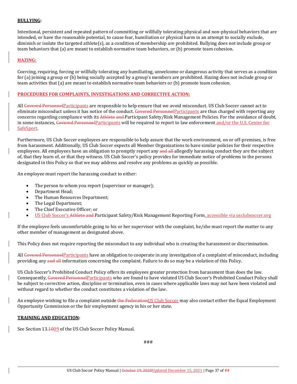## **BULLYING:**

Intentional, persistent and repeated pattern of committing or willfully tolerating physical and non-physical behaviors that are intended, or have the reasonable potential, to cause fear, humiliation or physical harm in an attempt to socially exclude, diminish or isolate the targeted athlete(s), as a condition of membership are prohibited. Bullying does not include group or team behaviors that (a) are meant to establish normative team behaviors, or (b) promote team cohesion.

# **HAZING:**

Coercing, requiring, forcing or willfully tolerating any humiliating, unwelcome or dangerous activity that serves as a condition for (a) joining a group or (b) being socially accepted by a group's members are prohibited. Hazing does not include group or team activities that (a) are meant to establish normative team behaviors or (b) promote team cohesion.

## **PROCEDURES FOR COMPLAINTS, INVESTIGATIONS AND CORRECTIVE ACTION:**

All Covered Personnel Participants are responsible to help ensure that we avoid misconduct. US Club Soccer cannot act to eliminate misconduct unless it has notice of the conduct. Covered PersonnelParticipants are thus charged with reporting any concerns regarding compliance with its Athlete and Participant Safety/Risk Management Policies. For the avoidance of doubt, in some instances, Covered PersonnelParticipants will be required to report to law enforcement and/or the U.S. Center for **SafeSport** 

Furthermore, US Club Soccer employees are responsible to help assure that the work environment, on or off-premises, is free from harassment. Additionally, US Club Soccer expects all Member Organizations to have similar policies for their respective employees. All employees have an obligation to promptly report any and all allegedly harassing conduct they are the subject of, that they learn of, or that they witness. US Club Soccer's policy provides for immediate notice of problems to the persons designated in this Policy so that we may address and resolve any problems as quickly as possible.

An employee must report the harassing conduct to either:

- The person to whom you report (supervisor or manager);
- Department Head;
- The Human Resources Department;
- The Legal Department;
- The Chief Executive Officer; or
- US Club Soccer's Athlete and Participant Safety/Risk Management Reporting Form, accessible via usclubsoccer.org

If the employee feels uncomfortable going to his or her supervisor with the complaint, he/she must report the matter to any other member of management as designated above.

This Policy does not require reporting the misconduct to any individual who is creating the harassment or discrimination.

All Covered Personnel Participants have an obligation to cooperate in any investigation of a complaint of misconduct, including providing any and all information concerning the complaint. Failure to do so may be a violation of this Policy.

US Club Soccer's Prohibited Conduct Policy offers its employees greater protection from harassment than does the law. Consequently, Covered Personnel Participants who are found to have violated US Club Soccer's Prohibited Conduct Policy shall be subject to corrective action, discipline or termination, even in cases where applicable laws may not have been violated and without regard to whether the conduct constitutes a violation of the law.

An employee wishing to file a complaint outside the Federation US Club Soccer may also contact either the Equal Employment Opportunity Commission or the fair employment agency in his or her state.

#### **TRAINING AND EDUCATION:**

See Section 13.1009 of the US Club Soccer Policy Manual.

###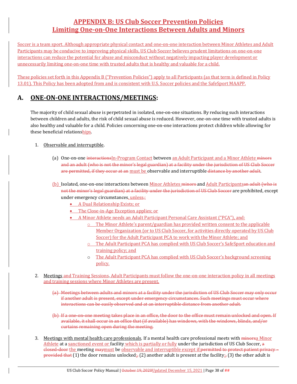# **APPENDIX B: US Club Soccer Prevention Policies Limiting One‐on‐One Interactions Between Adults and Minors**

Soccer is a team sport. Although appropriate physical contact and one-on-one interaction between Minor Athletes and Adult Participants may be conducive to improving physical skills, US Club Soccer believes prudent limitations on one-on-one interactions can reduce the potential for abuse and misconduct without negatively impacting player development or unnecessarily limiting one-on-one time with trusted adults that is healthy and valuable for a child.

These policies set forth in this Appendix B ("Prevention Policies") apply to all Participants (as that term is defined in Policy 13.01). This Policy has been adopted from and is consistent with U.S. Soccer policies and the SafeSport MAAPP.

# **A. ONE‐ON‐ONE INTERACTIONS/MEETINGS:**

The majority of child sexual abuse is perpetrated in isolated, one-on-one situations. By reducing such interactions between children and adults, the risk of child sexual abuse is reduced. However, one-on-one time with trusted adults is also healthy and valuable for a child. Policies concerning one-on-one interactions protect children while allowing for these beneficial relationships.

- 1. Observable and interruptible.
	- (a) One-on-one interactions In-Program Contact between an Adult Participant and a Minor Athlete minors and an adult (who is not the minor's legal guardian) at a facility under the jurisdiction of US Club Soccer are permitted, if they occur at an must be observable and interruptible distance by another adult.
	- (b) Isolated, one-on-one interactions between Minor Athletes minors and Adult Participantsan adult (who is not the minor's legal guardian) at a facility under the jurisdiction of US Club Soccer are prohibited, except under emergency circumstances, unless.:
		- A Dual Relationship Exists; or
		- The Close-in-Age Exception applies; or
		- A Minor Athlete needs an Adult Participant Personal Care Assistant ("PCA"), and:
			- $\circ$  The Minor Athlete's parent/guardian has provided written consent to the applicable Member Organization (or to US Club Soccer, for activities directly operated by US Club Soccer) for the Adult Participant PCA to work with the Minor Athlete; and
			- o The Adult Participant PCA has complied with US Club Soccer's SafeSport education and training policy; and
			- o The Adult Participant PCA has complied with US Club Soccer's background screening policy.
- 2. Meetings and Training Sessions. Adult Participants must follow the one-on-one interaction policy in all meetings and training sessions where Minor Athletes are present.
	- (a) Meetings between adults and minors at a facility under the jurisdiction of US Club Soccer may only occur if another adult is present, except under emergency circumstances. Such meetings must occur where interactions can be easily observed and at an interruptible distance from another adult.
	- (b) If a one-on-one meeting takes place in an office, the door to the office must remain unlocked and open. If available, it shall occur in an office that (if available) has windows, with the windows, blinds, and/or curtains remaining open during the meeting.
- 3. Meetings with mental health care professionals. If a mental health care professional meets with minorsa Minor Athlete at a sanctioned event or facility which is partially or fully under the jurisdiction of US Club Soccer, a closed-door the meeting maymust be observable and interruptible except if: permitted to protect patient privacy provided that (1) the door remains unlocked; (2) another adult is present at the facility; (3) the other adult is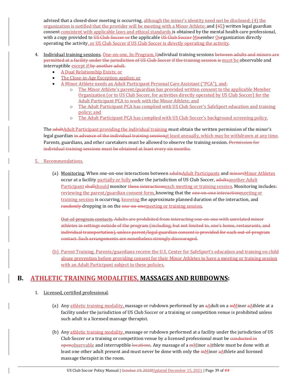advised that a closed-door meeting is occurring, although the minor's identity need not be disclosed; (4) the organization is notified that the provider will be meeting with a Minor Athlete; and  $(45)$  written legal guardian consent consistent with applicable laws and ethical standards is obtained by the mental health care professional, with a copy provided to US Club Soccer or the applicable US Club Soccer Mmember Oorganization directly operating the activity, or US Club Soccer if US Club Soccer is directly operating the activity.

- 4. Individual training sessions, One-on-one, In-Program, *Lindividual training sessions between adults and minors are* permitted at a facility under the jurisdiction of US Club Soccer if the training session is must be observable and interruptible except if: by another adult.
	- A Dual Relationship Exists; or
	- The Close-in-Age Exception applies; or
	- A Minor Athlete needs an Adult Participant Personal Care Assistant ("PCA"), and:
		- o The Minor Athlete's parent/guardian has provided written consent to the applicable Member Organization (or to US Club Soccer, for activities directly operated by US Club Soccer) for the Adult Participant PCA to work with the Minor Athlete; and
		- o The Adult Participant PCA has complied with US Club Soccer's SafeSport education and training policy; and
		- o The Adult Participant PCA has complied with US Club Soccer's background screening policy.

The adultAdult Participant providing the individual training must obtain the written permission of the minor's legal guardian in advance of the individual training sessionat least annually, which may be withdrawn at any time. Parents, guardians, and other caretakers must be allowed to observe the training session. Permission for individual training sessions must be obtained at least every six months.

# 5. Recommendations.

(a) Monitoring. When one-on-one interactions between adultsAdult Participants and minorsMinor Athletes occur at a facility partially or fully under the jurisdiction of US Club Soccer, adultsanother Adult Participant shallshould monitor these interactionseach meeting or training session. Monitoring includes: reviewing the parent/guardian consent form, knowing that the one-on-one interactionmeeting or training session is occurring, knowing the approximate planned duration of the interaction, and randomly dropping in on the one-on-onemeeting or training session.

Out-of-program contacts. Adults are prohibited from interacting one-on-one with unrelated minor athletes in settings outside of the program (including, but not limited to, one's home, restaurants, and individual transportation), unless parent/legal guardian consent is provided for each out-of-program contact. Such arrangements are nonetheless strongly discouraged.

(b) Parent Training. Parents/guardians receive the U.S. Center for SafeSport's education and training on child abuse prevention before providing consent for their Minor Athletes to have a meeting or training session with an Adult Participant subject to these policies.

# **B. ATHLETIC TRAINING MODALITIES, MASSAGES AND RUBDOWNS:**

# 1. Licensed, certified professional.

- (a) Any athletic training modality, massage or rubdown performed by an aAdult on a mMinor aAthlete at a facility under the jurisdiction of US Club Soccer or a training or competition venue is prohibited unless such adult is a licensed massage therapist.
- (b) Any athletic training modality, massage or rubdown performed at a facility under the jurisdiction of US Club Soccer or a training or competition venue by a licensed professional must be conducted in openobservable and interruptible locations. Any massage of a mMinor aAthlete must be done with at least one other adult present and must never be done with only the  $m$  minor  $a$ Athlete and licensed massage therapist in the room.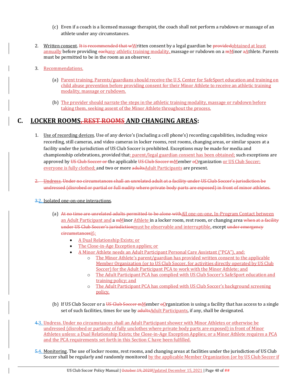- (c) Even if a coach is a licensed massage therapist, the coach shall not perform a rubdown or massage of an athlete under any circumstances.
- 2. Written consent. It is recommended that wWritten consent by a legal guardian be providedobtained at least annually before providing eachany athletic training modality, massage or rubdown on a mMinor aAthlete. Parents must be permitted to be in the room as an observer.
- 3. Recommendations.
	- (a) Parent training. Parents/guardians should receive the U.S. Center for SafeSport education and training on child abuse prevention before providing consent for their Minor Athlete to receive an athletic training modality, massage or rubdown.
	- (b) The provider should narrate the steps in the athletic training modality, massage or rubdown before taking them, seeking assent of the Minor Athlete throughout the process.

# **C. LOCKER ROOMS, REST ROOMS AND CHANGING AREAS:**

- 1. Use of recording devices. Use of any device's (including a cell phone's) recording capabilities, including voice recording, still cameras, and video cameras in locker rooms, rest rooms, changing areas, or similar spaces at a facility under the jurisdiction of US Club Soccer is prohibited. Exceptions may be made for media and championship celebrations, provided that: parent/legal guardian consent has been obtained; such exceptions are approved by US Club Soccer or the applicable US Club Soccer mMember oOrganization or US Club Soccer; everyone is fully clothed; and two or more adultsAdult Participants are present.
- 2. Undress. Under no circumstances shall an unrelated adult at a facility under US Club Soccer's jurisdiction be undressed (disrobed or partial or full nudity where private body parts are exposed) in front of minor athletes.

# 3.2. Isolated one-on-one interactions.

- (a) At no time are unrelated adults permitted to be alone withAll one-on-one, In-Program Contact between an Adult Participant and a mMinor Athlete in a locker room, rest room, or changing area when at a facility under US Club Soccer's jurisdictionmust be observable and interruptible, except under emergency circumstancesif.:
	- A Dual Relationship Exists; or
	- The Close-in-Age Exception applies; or
	- A Minor Athlete needs an Adult Participant Personal Care Assistant ("PCA"), and:
		- o The Minor Athlete's parent/guardian has provided written consent to the applicable Member Organization (or to US Club Soccer, for activities directly operated by US Club Soccer) for the Adult Participant PCA to work with the Minor Athlete; and
		- o The Adult Participant PCA has complied with US Club Soccer's SafeSport education and training policy; and
		- o The Adult Participant PCA has complied with US Club Soccer's background screening policy.
- (b) If US Club Soccer or a US Club Soccer  $mM$ ember  $\Theta$  reganization is using a facility that has access to a single set of such facilities, times for use by adultsAdult Participants, if any, shall be designated.
- 4.3. Undress. Under no circumstances shall an Adult Participant shower with Minor Athletes or otherwise be undressed (disrobed or partially of fully unclothes where private body parts are exposed) in front of Minor Athletes unless: a Dual Relationship Exists; the Close-in-Age Exception Applies; or a Minor Athlete requires a PCA and the PCA requirements set forth in this Section C have been fulfilled.
- 5.4. Monitoring. The use of locker rooms, rest rooms, and changing areas at facilities under the jurisdiction of US Club Soccer shall be regularly and randomly monitored by the applicable Member Organization (or by US Club Soccer if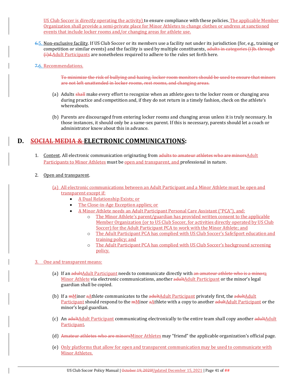US Club Soccer is directly operating the activity) to ensure compliance with these policies. The applicable Member Organization shall provide a semi-private place for Minor Athletes to change clothes or undress at sanctioned events that include locker rooms and/or changing areas for athlete use.

6.5. Non-exclusive facility. If US Club Soccer or its members use a facility not under its jurisdiction (for, e.g., training or competition or similar events) and the facility is used by multiple constituents, adults in categories (i)b. through (i)d.Adult Participants are nonetheless required to adhere to the rules set forth here.

## 7.6. Recommendations.

To minimize the risk of bullying and hazing, locker room monitors should be used to ensure that minors are not left unattended in locker rooms, rest rooms, and changing areas.

- (a) Adults shall make every effort to recognize when an athlete goes to the locker room or changing area during practice and competition and, if they do not return in a timely fashion, check on the athlete's whereabouts.
- (b) Parents are discouraged from entering locker rooms and changing areas unless it is truly necessary. In those instances, it should only be a same-sex parent. If this is necessary, parents should let a coach or administrator know about this in advance.

# **D. SOCIAL MEDIA & ELECTRONIC COMMUNICATIONS:**

- 1. Content. All electronic communication originating from adults to amateur athletes who are minorsAdult Participants to Minor Athletes must be open and transparent, and professional in nature.
- 2. Open and transparent.
	- (a) All electronic communications between an Adult Participant and a Minor Athlete must be open and transparent except if:
		- A Dual Relationship Exists; or
		- The Close-in-Age Exception applies; or
		- A Minor Athlete needs an Adult Participant Personal Care Assistant ("PCA"), and:
			- o The Minor Athlete's parent/guardian has provided written consent to the applicable Member Organization (or to US Club Soccer, for activities directly operated by US Club Soccer) for the Adult Participant PCA to work with the Minor Athlete; and
			- o The Adult Participant PCA has complied with US Club Soccer's SafeSport education and training policy; and
			- o The Adult Participant PCA has complied with US Club Soccer's background screening policy.

# 3. One and transparent means:

- (a) If an adultAdult Participant needs to communicate directly with an amateur athlete who is a minora Minor Athlete via electronic communications, another adultAdult Participant or the minor's legal guardian shall be copied.
- (b) If a mMinor aAthlete communicates to the adultAdult Participant privately first, the adultAdult Participant should respond to the mMinor aAthlete with a copy to another adultAdult Participant or the minor's legal guardian.
- (c) An adultAdult Participant communicating electronically to the entire team shall copy another adultAdult **Participant**
- (d) Amateur athletes who are minorsMinor Athletes may "friend" the applicable organization's official page.
- (e) Only platforms that allow for open and transparent communication may be used to communicate with Minor Athletes.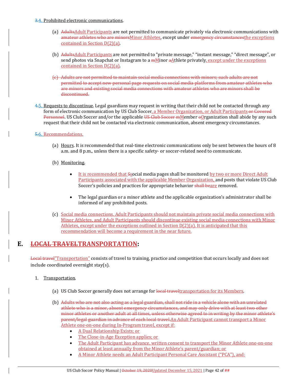#### 3.4. Prohibited electronic communications.

- (a) AdultsAdult Participants are not permitted to communicate privately via electronic communications with amateur athletes who are minorsMinor Athletes, except under emergency circumstancesthe exceptions contained in Section D(2)(a).
- (b) AdultsAdult Participants are not permitted to "private message," "instant message," "direct message", or send photos via Snapchat or Instagram to a  $\frac{mM}{m}$ inor  $\frac{a}{r}$  Athlete privately, except under the exceptions contained in Section D(2)(a).
- (c) Adults are not permitted to maintain social media connections with minors; such adults are not permitted to accept new personal page requests on social media platforms from amateur athletes who are minors and existing social media connections with amateur athletes who are minors shall be discontinued.
- 4.5. Requests to discontinue. Legal guardians may request in writing that their child not be contacted through any form of electronic communication by US Club Soccer, a Member Organization, or Adult Participants or Covered Personnel. US Club Soccer and/or the applicable US Club Soccer mMember oOrganization shall abide by any such request that their child not be contacted via electronic communication, absent emergency circumstances.

# 5.6. Recommendations.

- (a) Hours. It is recommended that real-time electronic communications only be sent between the hours of 8 a.m. and 8 p.m., unless there is a specific safety- or soccer-related need to communicate.
- (b) Monitoring.
	- It is recommended that Ssocial media pages shall be monitored by two or more Direct Adult Participants associated with the applicable Member Organization, and posts that violate US Club Soccer's policies and practices for appropriate behavior shall beare removed.
	- The legal guardian or a minor athlete and the applicable organization's administrator shall be informed of any prohibited posts.
- (c) Social media connections. Adult Participants should not maintain private social media connections with Minor Athletes, and Adult Participants should discontinue existing social media connections with Minor Athletes, except under the exceptions outlined in Section D(2)(a). It is anticipated that this recommendation will become a requirement in the near future.

# **E. LOCAL TRAVELTRANSPORTATION:**

Local travel"Transportation" consists of travel to training, practice and competition that occurs locally and does not include coordinated overnight stay(s).

- 1. Transportation.
	- (a) US Club Soccer generally does not arrange for local travel transportation for its Members.
	- (b) Adults who are not also acting as a legal guardian, shall not ride in a vehicle alone with an unrelated athlete who is a minor, absent emergency circumstances, and may only drive with at least two other minor athletes or another adult at all times, unless otherwise agreed to in writing by the minor athlete's parent/legal guardian in advance of each local travel.An Adult Participant cannot transport a Minor Athlete one-on-one during In-Program travel, except if:
		- A Dual Relationship Exists; or
		- The Close-in-Age Exception applies; or
		- The Adult Participant has advance, written consent to transport the Minor Athlete one-on-one obtained at least annually from the Minor Athlete's parent/guardian; or
		- A Minor Athlete needs an Adult Participant Personal Care Assistant ("PCA"), and: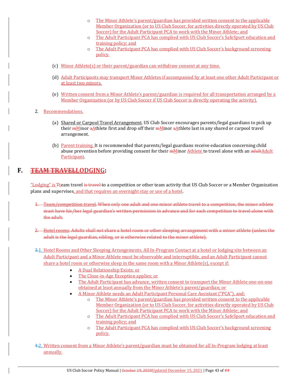- o The Minor Athlete's parent/guardian has provided written consent to the applicable Member Organization (or to US Club Soccer, for activities directly operated by US Club Soccer) for the Adult Participant PCA to work with the Minor Athlete; and
- o The Adult Participant PCA has complied with US Club Soccer's SafeSport education and training policy; and
- o The Adult Participant PCA has complied with US Club Soccer's background screening policy.
- (c) Minor Athlete(s) or their parent/guardian can withdraw consent at any time.
- (d) Adult Participants may transport Minor Athletes if accompanied by at least one other Adult Participant or at least two minors.
- (e) Written consent from a Minor Athlete's parent/guardian is required for all transportation arranged by a Member Organization (or by US Club Soccer if US Club Soccer is directly operating the activity).
- 2. Recommendations.
	- (a) Shared or Carpool Travel Arrangement. US Club Soccer encourages parents/legal guardians to pick up their mMinor aAthlete first and drop off their mMinor aAthlete last in any shared or carpool travel arrangement.
	- (b) Parent training. It is recommended that parents/legal guardians receive education concerning child abuse prevention before providing consent for their **mMinor Athlete to travel alone with an adultAdult Participant**

# **F. TEAM TRAVELLODGING:**

"Lodging" is <sub>Tteam</sub> travel is travel to a competition or other team activity that US Club Soccer or a Member Organization plans and supervises, and that requires an overnight stay or use of a hotel.

- 1. Team/competition travel. When only one adult and one minor athlete travel to a competition, the minor athlete must have his/her legal guardian's written permission in advance and for each competition to travel alone with the adult.
- 2. Hotel rooms. Adults shall not share a hotel room or other sleeping arrangement with a minor athlete (unless the adult is the legal guardian, sibling, or is otherwise related to the minor athlete).
- 3.1. Hotel Rooms and Other Sleeping Arrangements. All In-Program Contact at a hotel or lodging site between an Adult Participant and a Minor Athlete must be observable and interruptible, and an Adult Participant cannot share a hotel room or otherwise sleep in the same room with a Minor Athlete(s), except if:
	- A Dual Relationship Exists; or
	- The Close-in-Age Exception applies; or
	- The Adult Participant has advance, written consent to transport the Minor Athlete one-on-one obtained at least annually from the Minor Athlete's parent/guardian; or
	- A Minor Athlete needs an Adult Participant Personal Care Assistant ("PCA"), and:
		- o The Minor Athlete's parent/guardian has provided written consent to the applicable Member Organization (or to US Club Soccer, for activities directly operated by US Club Soccer) for the Adult Participant PCA to work with the Minor Athlete; and
		- o The Adult Participant PCA has complied with US Club Soccer's SafeSport education and training policy; and
		- o The Adult Participant PCA has complied with US Club Soccer's background screening policy.
- 4.2. Written consent from a Minor Athlete's parent/guardian must be obtained for all In-Program lodging at least annually.